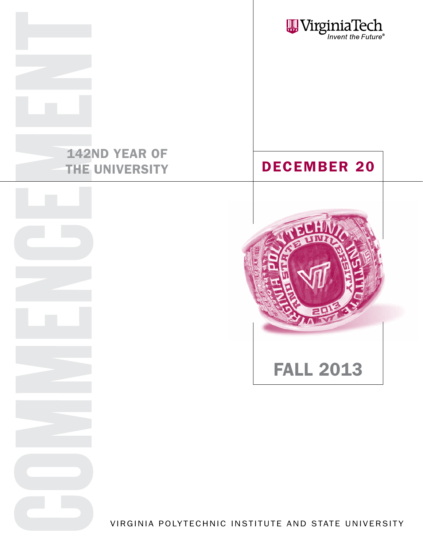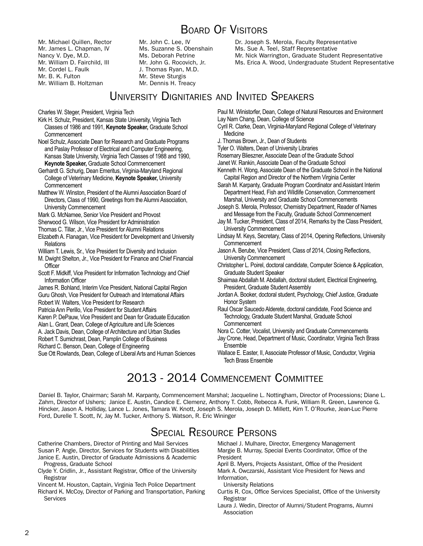# Board Of Visitors

Mr. Michael Quillen, Rector Mr. James L. Chapman, IV Nancy V. Dye, M.D. Mr. William D. Fairchild, III Mr. Cordel L. Faulk Mr. B. K. Fulton Mr. William B. Holtzman

Mr. John C. Lee, IV Ms. Suzanne S. Obenshain Ms. Deborah Petrine Mr. John G. Rocovich, Jr. J. Thomas Ryan, M.D. Mr. Steve Sturgis Mr. Dennis H. Treacy

# Dr. Joseph S. Merola, Faculty Representative Ms. Sue A. Teel, Staff Representative Mr. Nick Warrington, Graduate Student Representative Ms. Erica A. Wood, Undergraduate Student Representative

# University Dignitaries and Invited Speakers

Charles W. Steger, President, Virginia Tech

- Kirk H. Schulz, President, Kansas State University, Virginia Tech Classes of 1986 and 1991, **Keynote Speaker,** Graduate School Commencement
- Noel Schulz, Associate Dean for Research and Graduate Programs and Paslay Professor of Electrical and Computer Engineering, Kansas State University, Virginia Tech Classes of 1988 and 1990, **Keynote Speaker,** Graduate School Commencement
- Gerhardt G. Schurig, Dean Emeritus, Virginia-Maryland Regional College of Veterinary Medicine, **Keynote Speaker,** University **Commencement**
- Matthew W. Winston, President of the Alumni Association Board of Directors, Class of 1990, Greetings from the Alumni Association, University Commencement
- Mark G. McNamee, Senior Vice President and Provost
- Sherwood G. Wilson, Vice President for Administration
- Thomas C. Tillar, Jr., Vice President for Alumni Relations
- Elizabeth A. Flanagan, Vice President for Development and University Relations
- William T. Lewis, Sr., Vice President for Diversity and Inclusion
- M. Dwight Shelton, Jr., Vice President for Finance and Chief Financial **Officer**
- Scott F. Midkiff, Vice President for Information Technology and Chief Information Officer
- James R. Bohland, Interim Vice President, National Capital Region Guru Ghosh, Vice President for Outreach and International Affairs
- Robert W. Walters, Vice President for Research
- Patricia Ann Perillo, Vice President for Student Affairs
- Karen P. DePauw, Vice President and Dean for Graduate Education
- Alan L. Grant, Dean, College of Agriculture and Life Sciences
- A. Jack Davis, Dean, College of Architecture and Urban Studies
- Robert T. Sumichrast, Dean, Pamplin College of Business
- Richard C. Benson, Dean, College of Engineering

Sue Ott Rowlands, Dean, College of Liberal Arts and Human Sciences

Paul M. Winistorfer, Dean, College of Natural Resources and Environment Lay Nam Chang, Dean, College of Science

- Cyril R. Clarke, Dean, Virginia-Maryland Regional College of Veterinary **Medicine**
- J. Thomas Brown, Jr., Dean of Students
- Tyler O. Walters, Dean of University Libraries
- Rosemary Blieszner, Associate Dean of the Graduate School
- Janet W. Rankin, Associate Dean of the Graduate School
- Kenneth H. Wong, Associate Dean of the Graduate School in the National Capital Region and Director of the Northern Virginia Center
- Sarah M. Karpanty, Graduate Program Coordinator and Assistant Interim Department Head, Fish and Wildlife Conservation, Commencement Marshal, University and Graduate School Commencements
- Joseph S. Merola, Professor, Chemistry Department, Reader of Names and Message from the Faculty, Graduate School Commencement
- Jay M. Tucker, President, Class of 2014, Remarks by the Class President, University Commencement
- Lindsay M. Keys, Secretary, Class of 2014, Opening Reflections, University Commencement
- Jason A. Berube, Vice President, Class of 2014, Closing Reflections, University Commencement
- Christopher L. Poirel, doctoral candidate, Computer Science & Application, Graduate Student Speaker
- Shaimaa Abdallah M. Abdallah, doctoral student, Electrical Engineering, President, Graduate Student Assembly
- Jordan A. Booker, doctoral student, Psychology, Chief Justice, Graduate Honor System
- Raul Oscar Saucedo Alderete, doctoral candidate, Food Science and Technology, Graduate Student Marshal, Graduate School **Commencement**
- Nora C. Cotter, Vocalist, University and Graduate Commencements
- Jay Crone, Head, Department of Music, Coordinator, Virginia Tech Brass Ensemble
- Wallace E. Easter, II, Associate Professor of Music, Conductor, Virginia Tech Brass Ensemble

# 2013 - 2014 Commencement Committee

Daniel B. Taylor, Chairman; Sarah M. Karpanty, Commencement Marshal; Jacqueline L. Nottingham, Director of Processions; Diane L. Zahm, Director of Ushers; Janice E. Austin, Candice E. Clemenz, Anthony T. Cobb, Rebecca A. Funk, William R. Green, Lawrence G. Hincker, Jason A. Holliday, Lance L. Jones, Tamara W. Knott, Joseph S. Merola, Joseph D. Millett, Kim T. O'Rourke, Jean-Luc Pierre Ford, Durelle T. Scott, IV, Jay M. Tucker, Anthony S. Watson, R. Eric Wininger

# Special Resource Persons

Catherine Chambers, Director of Printing and Mail Services Susan P. Angle, Director, Services for Students with Disabilities Janice E. Austin, Director of Graduate Admissions & Academic

Progress, Graduate School

Clyde Y. Cridlin, Jr., Assistant Registrar, Office of the University Registrar

Vincent M. Houston, Captain, Virginia Tech Police Department Richard K. McCoy, Director of Parking and Transportation, Parking **Services** 

Michael J. Mulhare, Director, Emergency Management Margie B. Murray, Special Events Coordinator, Office of the President

April B. Myers, Projects Assistant, Office of the President Mark A. Owczarski, Assistant Vice President for News and Information,

University Relations

- Curtis R. Cox, Office Services Specialist, Office of the University Registrar
- Laura J. Wedin, Director of Alumni/Student Programs, Alumni Association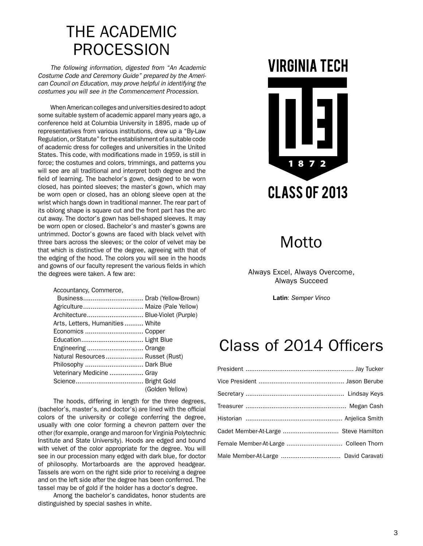# THE ACADEMIC PROCESSION

The following information, digested from "An Academic<br>tume Code and Ceremony Guide" prepared by the Ameri-*Costume Code and Ceremony Guide" prepared by the American Council on Education, may prove helpful in identifying the*  costumes you will see in the Commencement Procession.

When American colleges and universities desired to adopt some suitable system of academic apparel many years ago, a conference held at Columbia University in 1895, made up of representatives from various institutions, drew up a "By-Law representatives from various institutions, drew up a "By-Law representatives non-vances metadations, aren apparels code<br>Regulation, or Statute" for the establishment of a suitable code regalation; or clarate from the establishment of a saltable code<br>of academic dress for colleges and universities in the United or academic dress for colleges and dinversides in the onlied<br>States. This code, with modifications made in 1959, is still in force; the costumes and colors, trimmings, and patterns you will see are all traditional and interpret both degree and the field of learning. The bachelor's gown, designed to be worn closed, has pointed sleeves; the master's gown, which may be worn open or closed, has an oblong sleeve open at the wrist which hangs down in traditional manner. The rear part of its oblong shape is square cut and the front part has the arc cut away. The doctor's gown has bell-shaped sleeves. It may be worn open or closed. Bachelor's and master's gowns are untrimmed. Doctor's gowns are faced with black velvet with three bars across the sleeves; or the color of velvet may be that which is distinctive of the degree, agreeing with that of the edging of the hood. The colors you will see in the hoods and gowns of our faculty represent the various fields in which and gowns of our faculty represent the various fields in which the degrees were taken. A few are: regulation,  $\alpha$  for  $\beta$  suitablishment of  $\alpha$  and  $\beta$  is suitable code.  $\frac{1}{3}$  in the hologeneous represent the various fields in which

Accountancy, Commerce, Accountancy, Commerce,

| Agriculture Maize (Pale Yellow)   |                 |
|-----------------------------------|-----------------|
| Architecture Blue-Violet (Purple) |                 |
| Arts, Letters, Humanities White   |                 |
|                                   |                 |
|                                   |                 |
| Engineering  Orange               |                 |
| Natural Resources Russet (Rust)   |                 |
| Philosophy  Dark Blue             |                 |
| Veterinary Medicine  Gray         |                 |
|                                   |                 |
|                                   | (Golden Yellow) |

The hoods, differing in length for the three degrees, (bachelor's, master's, and doctor's) are lined with the official colors of the university or college conferring the degree, eversity or the third clay of college conferring the targlee, usually with one color forming a chevron pattern over the abdaily marrorie color forming a chemotic pattern over the other (for example, orange and maroon for Virginia Polytechnic orier (for example, orange and maroom or virginia Polytechnic<br>Institute and State University). Hoods are edged and bound moduce and otate oniversity). Hoods are edged and bound<br>with velvet of the color appropriate for the degree. You will see in our procession many edged with dark blue, for doctor of philosophy. Mortarboards are the approved headgear. Tassels are worn on the right side prior to receiving a degree and on the left side after the degree has been conferred. The tassel may be of gold if the holder has a doctor's degree. and velver of the color appropriate for the degree. You will

Among the bachelor's candidates, honor students are distinguished by special sashes in white.

# **VIRGINIA TECH**



# Motto

Always Excel, Always Overcome, Always Succeed<br>

**Latin**: *Semper Vinco*

# Class of 2014 Officers

| Cadet Member-At-Large  Steve Hamilton |  |
|---------------------------------------|--|
| Female Member-At-Large  Colleen Thorn |  |
| Male Member-At-Large  David Caravati  |  |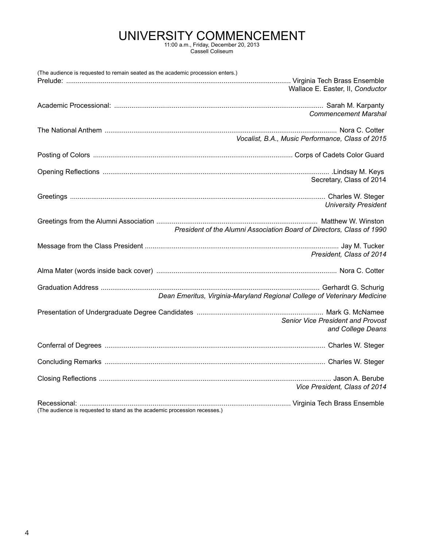# UNIVERSITY COMMENCEMENT 11:00 a.m., Friday, December 20, 2013

Cassell Coliseum

| (The audience is requested to remain seated as the academic procession enters.) |                                                                          |
|---------------------------------------------------------------------------------|--------------------------------------------------------------------------|
|                                                                                 | Wallace E. Easter, II, Conductor                                         |
|                                                                                 | <b>Commencement Marshal</b>                                              |
|                                                                                 | Vocalist, B.A., Music Performance, Class of 2015                         |
|                                                                                 |                                                                          |
|                                                                                 | Secretary, Class of 2014                                                 |
|                                                                                 | <b>University President</b>                                              |
|                                                                                 | President of the Alumni Association Board of Directors, Class of 1990    |
|                                                                                 | President, Class of 2014                                                 |
|                                                                                 |                                                                          |
|                                                                                 | Dean Emeritus, Virginia-Maryland Regional College of Veterinary Medicine |
|                                                                                 | Senior Vice President and Provost<br>and College Deans                   |
|                                                                                 |                                                                          |
|                                                                                 |                                                                          |
|                                                                                 | Vice President, Class of 2014                                            |
| (The audience is requested to stand as the academic procession recesses.)       |                                                                          |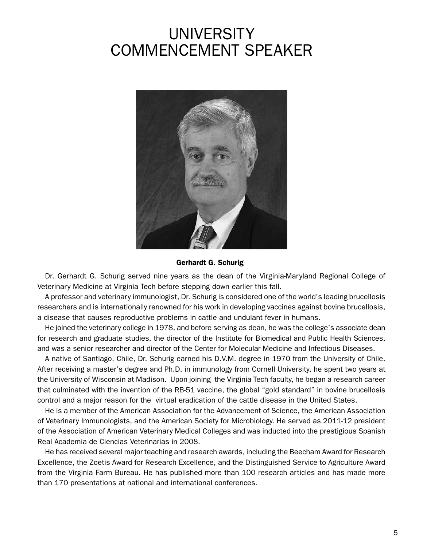# UNIVERSITY COMMENCEMENT SPEAKER



Gerhardt G. Schurig

Dr. Gerhardt G. Schurig served nine years as the dean of the Virginia-Maryland Regional College of Veterinary Medicine at Virginia Tech before stepping down earlier this fall.

A professor and veterinary immunologist, Dr. Schurig is considered one of the world's leading brucellosis researchers and is internationally renowned for his work in developing vaccines against bovine brucellosis, a disease that causes reproductive problems in cattle and undulant fever in humans.

He joined the veterinary college in 1978, and before serving as dean, he was the college's associate dean for research and graduate studies, the director of the Institute for Biomedical and Public Health Sciences, and was a senior researcher and director of the Center for Molecular Medicine and Infectious Diseases.

A native of Santiago, Chile, Dr. Schurig earned his D.V.M. degree in 1970 from the University of Chile. After receiving a master's degree and Ph.D. in immunology from Cornell University, he spent two years at the University of Wisconsin at Madison. Upon joining the Virginia Tech faculty, he began a research career that culminated with the invention of the RB-51 vaccine, the global "gold standard" in bovine brucellosis control and a major reason for the virtual eradication of the cattle disease in the United States.

He is a member of the American Association for the Advancement of Science, the American Association of Veterinary Immunologists, and the American Society for Microbiology. He served as 2011-12 president of the Association of American Veterinary Medical Colleges and was inducted into the prestigious Spanish Real Academia de Ciencias Veterinarias in 2008.

He has received several major teaching and research awards, including the Beecham Award for Research Excellence, the Zoetis Award for Research Excellence, and the Distinguished Service to Agriculture Award from the Virginia Farm Bureau. He has published more than 100 research articles and has made more than 170 presentations at national and international conferences.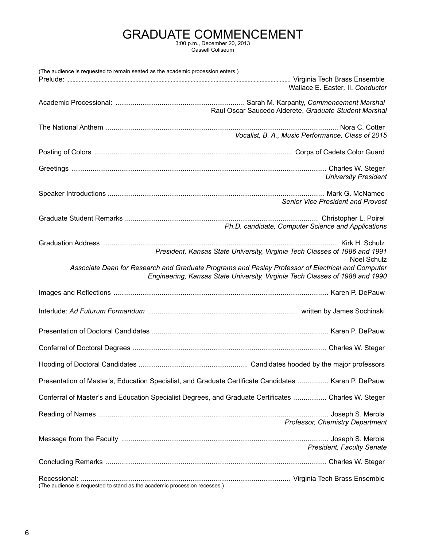# GRADUATE COMMENCEMENT 3:00 p.m., December 20, 2013

Cassell Coliseum

| (The audience is requested to remain seated as the academic procession enters.) |                                                                                                                                                                                   |
|---------------------------------------------------------------------------------|-----------------------------------------------------------------------------------------------------------------------------------------------------------------------------------|
|                                                                                 | Wallace E. Easter, II, Conductor                                                                                                                                                  |
|                                                                                 | Raul Oscar Saucedo Alderete, Graduate Student Marshal                                                                                                                             |
|                                                                                 | Vocalist, B. A., Music Performance, Class of 2015                                                                                                                                 |
|                                                                                 |                                                                                                                                                                                   |
|                                                                                 | <b>University President</b>                                                                                                                                                       |
|                                                                                 | <b>Senior Vice President and Provost</b>                                                                                                                                          |
|                                                                                 | Ph.D. candidate, Computer Science and Applications                                                                                                                                |
|                                                                                 | President, Kansas State University, Virginia Tech Classes of 1986 and 1991<br><b>Noel Schulz</b>                                                                                  |
|                                                                                 | Associate Dean for Research and Graduate Programs and Paslay Professor of Electrical and Computer<br>Engineering, Kansas State University, Virginia Tech Classes of 1988 and 1990 |
|                                                                                 |                                                                                                                                                                                   |
|                                                                                 |                                                                                                                                                                                   |
|                                                                                 |                                                                                                                                                                                   |
|                                                                                 |                                                                                                                                                                                   |
|                                                                                 |                                                                                                                                                                                   |
|                                                                                 | Presentation of Master's, Education Specialist, and Graduate Certificate Candidates  Karen P. DePauw                                                                              |
|                                                                                 | Conferral of Master's and Education Specialist Degrees, and Graduate Certificates  Charles W. Steger                                                                              |
|                                                                                 | Professor, Chemistry Department                                                                                                                                                   |
|                                                                                 | <b>President, Faculty Senate</b>                                                                                                                                                  |
|                                                                                 |                                                                                                                                                                                   |
| (The audience is requested to stand as the academic procession recesses.)       |                                                                                                                                                                                   |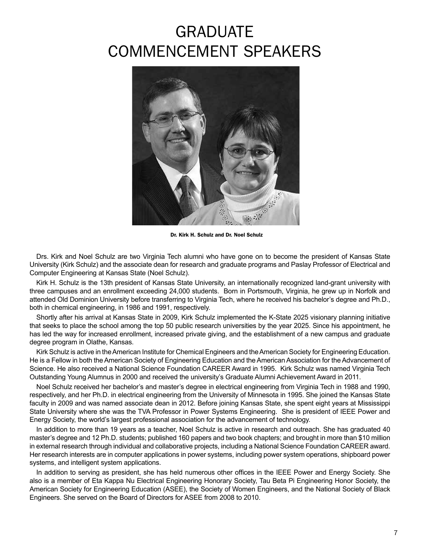# GRADUATE COMMENCEMENT SPEAKERS



Dr. Kirk H. Schulz and Dr. Noel Schulz

Drs. Kirk and Noel Schulz are two Virginia Tech alumni who have gone on to become the president of Kansas State University (Kirk Schulz) and the associate dean for research and graduate programs and Paslay Professor of Electrical and Computer Engineering at Kansas State (Noel Schulz).

Kirk H. Schulz is the 13th president of Kansas State University, an internationally recognized land-grant university with three campuses and an enrollment exceeding 24,000 students. Born in Portsmouth, Virginia, he grew up in Norfolk and attended Old Dominion University before transferring to Virginia Tech, where he received his bachelor's degree and Ph.D., both in chemical engineering, in 1986 and 1991, respectively.

Shortly after his arrival at Kansas State in 2009, Kirk Schulz implemented the K-State 2025 visionary planning initiative that seeks to place the school among the top 50 public research universities by the year 2025. Since his appointment, he has led the way for increased enrollment, increased private giving, and the establishment of a new campus and graduate degree program in Olathe, Kansas.

Kirk Schulz is active in the American Institute for Chemical Engineers and the American Society for Engineering Education. He is a Fellow in both the American Society of Engineering Education and the American Association for the Advancement of Science. He also received a National Science Foundation CAREER Award in 1995. Kirk Schulz was named Virginia Tech Outstanding Young Alumnus in 2000 and received the university's Graduate Alumni Achievement Award in 2011.

Noel Schulz received her bachelor's and master's degree in electrical engineering from Virginia Tech in 1988 and 1990, respectively, and her Ph.D. in electrical engineering from the University of Minnesota in 1995. She joined the Kansas State faculty in 2009 and was named associate dean in 2012. Before joining Kansas State, she spent eight years at Mississippi State University where she was the TVA Professor in Power Systems Engineering. She is president of IEEE Power and Energy Society, the world's largest professional association for the advancement of technology.

In addition to more than 19 years as a teacher, Noel Schulz is active in research and outreach. She has graduated 40 master's degree and 12 Ph.D. students; published 160 papers and two book chapters; and brought in more than \$10 million in external research through individual and collaborative projects, including a National Science Foundation CAREER award. Her research interests are in computer applications in power systems, including power system operations, shipboard power systems, and intelligent system applications.

In addition to serving as president, she has held numerous other offices in the IEEE Power and Energy Society. She also is a member of Eta Kappa Nu Electrical Engineering Honorary Society, Tau Beta Pi Engineering Honor Society, the American Society for Engineering Education (ASEE), the Society of Women Engineers, and the National Society of Black Engineers. She served on the Board of Directors for ASEE from 2008 to 2010.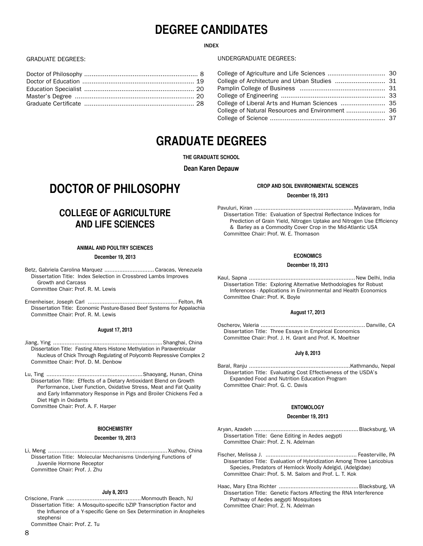# **DEGREE CANDIDATES**

# INDEX

# GRADUATE DEGREES:

# UNDERGRADUATE DEGREES:

| College of Liberal Arts and Human Sciences  35   |  |
|--------------------------------------------------|--|
| College of Natural Resources and Environment  36 |  |
|                                                  |  |
|                                                  |  |

# **GRADUATE DEGREES**

**THE GRADUATE SCHOOL**

**Dean Karen Depauw**

# **DOCTOR OF PHILOSOPHY**

# **COLLEGE OF AGRICULTURE AND LIFE SCIENCES**

# **ANIMAL AND POULTRY SCIENCES**

# **December 19, 2013**

Betz, Gabriela Carolina Marquez .............................. Caracas, Venezuela Dissertation Title: Index Selection in Crossbred Lambs Improves Growth and Carcass Committee Chair: Prof. R. M. Lewis

Emenheiser, Joseph Carl ...................................................... Felton, PA Dissertation Title: Economic Pasture-Based Beef Systems for Appalachia Committee Chair: Prof. R. M. Lewis

# **August 17, 2013**

- Jiang, Ying ..................................................................Shanghai, China Dissertation Title: Fasting Alters Histone Methylation in Paraventricular Nucleus of Chick Through Regulating of Polycomb Repressive Complex 2 Committee Chair: Prof. D. M. Denbow
- Lu, Ting ..........................................................Shaoyang, Hunan, China Dissertation Title: Effects of a Dietary Antioxidant Blend on Growth Performance, Liver Function, Oxidative Stress, Meat and Fat Quality and Early Inflammatory Response in Pigs and Broiler Chickens Fed a Diet High in Oxidants

Committee Chair: Prof. A. F. Harper

# **BIOCHEMISTRY**

### **December 19, 2013**

Li, Meng ........................................................................Xuzhou, China Dissertation Title: Molecular Mechanisms Underlying Functions of Juvenile Hormone Receptor Committee Chair: Prof. J. Zhu

### **July 8, 2013**

Criscione, Frank .............................................Monmouth Beach, NJ Dissertation Title: A Mosquito-specific bZIP Transcription Factor and the Influence of a Y-specific Gene on Sex Determination in Anopheles stephensi

Committee Chair: Prof. Z. Tu

# **CROP AND SOIL ENVIRONMENTAL SCIENCES**

# **December 19, 2013**

Pavuluri, Kiran ............................................................Mylavaram, India Dissertation Title: Evaluation of Spectral Reflectance Indices for Prediction of Grain Yield, Nitrogen Uptake and Nitrogen Use Efficiency & Barley as a Commodity Cover Crop in the Mid-Atlantic USA Committee Chair: Prof. W. E. Thomason

### **ECONOMICS**

### **December 19, 2013**

Kaul, Sapna ................................................................New Delhi, India Dissertation Title: Exploring Alternative Methodologies for Robust Inferences - Applications in Environmental and Health Economics Committee Chair: Prof. K. Boyle

### **August 17, 2013**

Oscherov, Valeria ............................................................... Danville, CA Dissertation Title: Three Essays in Empirical Economics Committee Chair: Prof. J. H. Grant and Prof. K. Moeltner

# **July 8, 2013**

Baral, Ranju .............................................................Kathmandu, Nepal Dissertation Title: Evaluating Cost Effectiveness of the USDA's Expanded Food and Nutrition Education Program Committee Chair: Prof. G. C. Davis

# **ENTOMOLOGY**

# **December 19, 2013**

Aryan, Azadeh ...............................................................Blacksburg, VA Dissertation Title: Gene Editing in Aedes aegypti Committee Chair: Prof. Z. N. Adelman

Fischer, Melissa J. ....................................................... Feasterville, PA Dissertation Title: Evaluation of Hybridization Among Three Laricobius Species, Predators of Hemlock Woolly Adelgid, (Adelgidae) Committee Chair: Prof. S. M. Salom and Prof. L. T. Kok

Haac, Mary Etna Richter ................................................Blacksburg, VA Dissertation Title: Genetic Factors Affecting the RNA Interference Pathway of Aedes aegypti Mosquitoes Committee Chair: Prof. Z. N. Adelman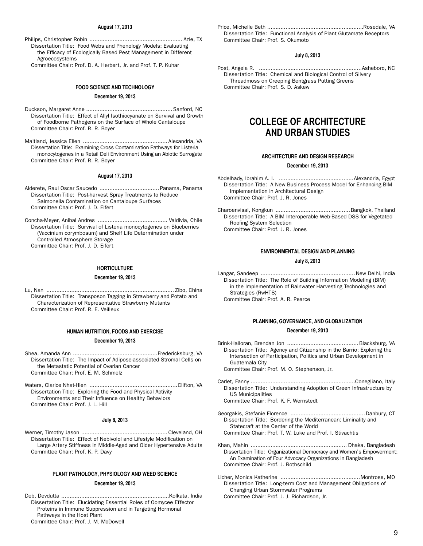### **August 17, 2013**

Philips, Christopher Robin ........................................................ Azle, TX Dissertation Title: Food Webs and Phenology Models: Evaluating the Efficacy of Ecologically Based Pest Management in Different Agroecosystems

Committee Chair: Prof. D. A. Herbert, Jr. and Prof. T. P. Kuhar

# **FOOD SCIENCE AND TECHNOLOGY**

# **December 19, 2013**

Duckson, Margaret Anne ....................................................Sanford, NC Dissertation Title: Effect of Allyl Isothiocyanate on Survival and Growth of Foodborne Pathogens on the Surface of Whole Cantaloupe Committee Chair: Prof. R. R. Boyer

Maitland, Jessica Ellen ................................................... Alexandria, VA Dissertation Title: Examining Cross Contamination Pathways for Listeria monocytogenes in a Retail Deli Environment Using an Abiotic Surrogate Committee Chair: Prof. R. R. Boyer

### **August 17, 2013**

Alderete, Raul Oscar Saucedo .................................... Panama, Panama Dissertation Title: Post-harvest Spray Treatments to Reduce Salmonella Contamination on Cantaloupe Surfaces Committee Chair: Prof. J. D. Eifert

Concha-Meyer, Anibal Andres .......................................... Valdivia, Chile Dissertation Title: Survival of Listeria monocytogenes on Blueberries (Vaccinium corymbosum) and Shelf Life Determination under Controlled Atmosphere Storage Committee Chair: Prof. J. D. Eifert

# **HORTICULTURE**

### **December 19, 2013**

Lu, Nan ............................................................................. Zibo, China Dissertation Title: Transposon Tagging in Strawberry and Potato and Characterization of Representative Strawberry Mutants Committee Chair: Prof. R. E. Veilleux

# **HUMAN NUTRITION, FOODS AND EXERCISE December 19, 2013**

Shea, Amanda Ann ...................................................Fredericksburg, VA Dissertation Title: The Impact of Adipose-associated Stromal Cells on the Metastatic Potential of Ovarian Cancer Committee Chair: Prof. E. M. Schmelz

Waters, Clarice Nhat-Hien .....................................................Clifton, VA Dissertation Title: Exploring the Food and Physical Activity Environments and Their Influence on Healthy Behaviors Committee Chair: Prof. J. L. Hill

# **July 8, 2013**

Werner, Timothy Jason .................................................... Cleveland, OH Dissertation Title: Effect of Nebivolol and Lifestyle Modification on Large Artery Stiffness in Middle-Aged and Older Hypertensive Adults Committee Chair: Prof. K. P. Davy

# **PLANT PATHOLOGY, PHYSIOLOGY AND WEED SCIENCE**

### **December 19, 2013**

Deb, Devdutta .................................................................Kolkata, India Dissertation Title: Elucidating Essential Roles of Oomycee Effector Proteins in Immune Suppression and in Targeting Hormonal Pathways in the Host Plant Committee Chair: Prof. J. M. McDowell

Price, Michelle Beth ..........................................................Rosedale, VA Dissertation Title: Functional Analysis of Plant Glutamate Receptors Committee Chair: Prof. S. Okumoto

# **July 8, 2013**

Post, Angela R. ..............................................................Asheboro, NC Dissertation Title: Chemical and Biological Control of Silvery Threadmoss on Creeping Bentgrass Putting Greens Committee Chair: Prof. S. D. Askew

# **COLLEGE OF ARCHITECTURE AND URBAN STUDIES**

### **ARCHITECTURE AND DESIGN RESEARCH**

### **December 19, 2013**

Abdelhady, Ibrahim A. I. .............................................Alexandria, Egypt Dissertation Title: A New Business Process Model for Enhancing BIM Implementation in Architectural Design Committee Chair: Prof. J. R. Jones

Charoenvisal, Kongkun .............................................Bangkok, Thailand Dissertation Title: A BIM Interoperable Web-Based DSS for Vegetated Roofing System Selection Committee Chair: Prof. J. R. Jones

# **ENVIRONMENTAL DESIGN AND PLANNING July 8, 2013**

Langar, Sandeep .........................................................New Delhi, India Dissertation Title: The Role of Building Information Modeling (BIM) in the Implementation of Rainwater Harvesting Technologies and Strategies (RwHTS) Committee Chair: Prof. A. R. Pearce

# **PLANNING, GOVERNANCE, AND GLOBALIZATION December 19, 2013**

Brink-Halloran, Brendan Jon ...........................................Blacksburg, VA Dissertation Title: Agency and Citizenship in the Barrio: Exploring the Intersection of Participation, Politics and Urban Development in Guatemala City

Committee Chair: Prof. M. O. Stephenson, Jr.

- Carlet, Fanny ...............................................................Conegliano, Italy Dissertation Title: Understanding Adoption of Green Infrastructure by US Municipalities Committee Chair: Prof. K. F. Wernstedt
- Georgakis, Stefanie Florence .............................................Danbury, CT Dissertation Title: Bordering the Mediterranean: Liminality and Statecraft at the Center of the World Committee Chair: Prof. T. W. Luke and Prof. I. Stivachtis
- Khan, Mahin .......................................................... Dhaka, Bangladesh Dissertation Title: Organizational Democracy and Women's Empowerment: An Examination of Four Advocacy Organizations in Bangladesh Committee Chair: Prof. J. Rothschild
- Licher, Monica Katherine ................................................Montrose, MO Dissertation Title: Long-term Cost and Management Obligations of Changing Urban Stormwater Programs Committee Chair: Prof. J. J. Richardson, Jr.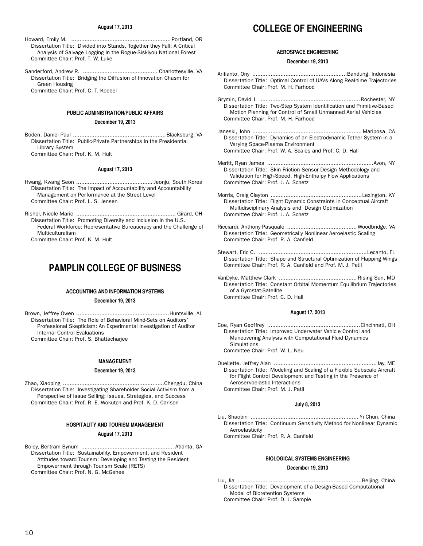### **August 17, 2013**

- Howard, Emily M. ............................................................ Portland, OR Dissertation Title: Divided into Stands, Together they Fall: A Critical Analysis of Salvage Logging in the Rogue-Siskiyou National Forest Committee Chair: Prof. T. W. Luke
- Sanderford, Andrew R. ............................................. Charlottesville, VA Dissertation Title: Bridging the Diffusion of Innovation Chasm for Green Housing

Committee Chair: Prof. C. T. Koebel

# **PUBLIC ADMINISTRATION/PUBLIC AFFAIRS**

# **December 19, 2013**

Boden, Daniel Paul ........................................................Blacksburg, VA Dissertation Title: Public-Private Partnerships in the Presidential Library System Committee Chair: Prof. K. M. Hult

## **August 17, 2013**

- Hwang, Kwang Seon .............................................. Jeonju, South Korea Dissertation Title: The Impact of Accountability and Accountability Management on Performance at the Street Level Committee Chair: Prof. L. S. Jensen
- Rishel, Nicole Marie ............................................................ Girard, OH Dissertation Title: Promoting Diversity and Inclusion in the U.S. Federal Workforce: Representative Bureaucracy and the Challenge of Multiculturalism

Committee Chair: Prof. K. M. Hult

# **PAMPLIN COLLEGE OF BUSINESS**

# **ACCOUNTING AND INFORMATION SYSTEMS**

### **December 19, 2013**

Brown, Jeffrey Owen ........................................................Huntsville, AL Dissertation Title: The Role of Behavioral Mind-Sets on Auditors' Professional Skepticism: An Experimental Investigation of Auditor Internal Control Evaluations Committee Chair: Prof. S. Bhattacharjee

**MANAGEMENT**

# **December 19, 2013**

Zhao, Xiaoping .............................................................Chengdu, China Dissertation Title: Investigating Shareholder Social Activism from a Perspective of Issue Selling; Issues, Strategies, and Success Committee Chair: Prof. R. E. Wokutch and Prof. K. D. Carlson

# **HOSPITALITY AND TOURISM MANAGEMENT**

# **August 17, 2013**

Boley, Bertram Bynum ........................................................ Atlanta, GA Dissertation Title: Sustainability, Empowerment, and Resident Attitudes toward Tourism: Developing and Testing the Resident Empowerment through Tourism Scale (RETS) Committee Chair: Prof. N. G. McGehee

# **COLLEGE OF ENGINEERING**

## **AEROSPACE ENGINEERING**

### **December 19, 2013**

- Arifianto, Ony .........................................................Bandung, Indonesia Dissertation Title: Optimal Control of UAVs Along Real-time Trajectories Committee Chair: Prof. M. H. Farhood
- Grymin, David J. ............................................................Rochester, NY Dissertation Title: Two-Step System Identification and Primitive-Based Motion Planning for Control of Small Unmanned Aerial Vehicles Committee Chair: Prof. M. H. Farhood
- Janeski, John .................................................................. Mariposa, CA Dissertation Title: Dynamics of an Electrodynamic Tether System in a Varying Space-Plasma Environment Committee Chair: Prof. W. A. Scales and Prof. C. D. Hall
- Meritt, Ryan James ................................................................Avon, NY Dissertation Title: Skin Friction Sensor Design Methodology and Validation for High-Speed, High-Enthalpy Flow Applications Committee Chair: Prof. J. A. Schetz
- Morris, Craig Clayton .......................................................Lexington, KY Dissertation Title: Flight Dynamic Constraints in Conceptual Aircraft Multidisciplinary Analysis and Design Optimization Committee Chair: Prof. J. A. Schetz
- Ricciardi, Anthony Pasquale .......................................... Woodbridge, VA Dissertation Title: Geometrically Nonlinear Aeroelastic Scaling Committee Chair: Prof. R. A. Canfield
- Stewart, Eric C. .................................................................Lecanto, FL Dissertation Title: Shape and Structural Optimization of Flapping Wings Committee Chair: Prof. R. A. Canfield and Prof. M. J. Patil
- VanDyke, Matthew Clark ............................................... Rising Sun, MD Dissertation Title: Constant Orbital Momentum Equilibrium Trajectories of a Gyrostat-Satellite Committee Chair: Prof. C. D. Hall

# **August 17, 2013**

- Coe, Ryan Geoffrey ........................................................Cincinnati, OH Dissertation Title: Improved Underwater Vehicle Control and Maneuvering Analysis with Computational Fluid Dynamics **Simulations** Committee Chair: Prof. W. L. Neu
- Ouellette, Jeffrey Alan ..............................................................Jay, ME Dissertation Title: Modeling and Scaling of a Flexible Subscale Aircraft for Flight Control Development and Testing in the Presence of Aeroservoelastic Interactions Committee Chair: Prof. M. J. Patil

### **July 8, 2013**

Liu, Shaobin ................................................................. Yi Chun, China Dissertation Title: Continuum Sensitivity Method for Nonlinear Dynamic Aeroelasticity

Committee Chair: Prof. R. A. Canfield

# **BIOLOGICAL SYSTEMS ENGINEERING**

# **December 19, 2013**

Liu, Jia ...........................................................................Beijing, China Dissertation Title: Development of a Design-Based Computational Model of Bioretention Systems Committee Chair: Prof. D. J. Sample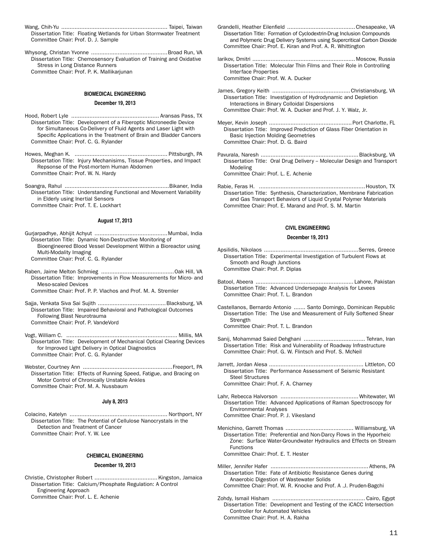- Wang, Chih-Yu ................................................................ Taipei, Taiwan Dissertation Title: Floating Wetlands for Urban Stormwater Treatment Committee Chair: Prof. D. J. Sample
- Whysong, Christan Yvonne ..............................................Broad Run, VA Dissertation Title: Chemosensory Evaluation of Training and Oxidative Stress in Long Distance Runners Committee Chair: Prof. P. K. Mallikarjunan

# **BIOMEDICAL ENGINEERING**

### **December 19, 2013**

- Hood, Robert Lyle ..................................................... Aransas Pass, TX Dissertation Title: Development of a Fiberoptic Microneedle Device for Simultaneous Co-Delivery of Fluid Agents and Laser Light with Specific Applications in the Treatment of Brain and Bladder Cancers Committee Chair: Prof. C. G. Rylander
- Howes, Meghan K. ........................................................ Pittsburgh, PA Dissertation Title: Injury Mechanisims, Tissue Properties, and Impact Repsonse of the Post-mortem Human Abdomen Committee Chair: Prof. W. N. Hardy
- Soangra, Rahul ...............................................................Bikaner, India Dissertation Title: Understanding Functional and Movement Variability in Elderly using Inertial Sensors Committee Chair: Prof. T. E. Lockhart

# **August 17, 2013**

- Gurjarpadhye, Abhijit Achyut ............................................Mumbai, India Dissertation Title: Dynamic Non-Destructive Monitoring of Bioengineered Blood Vessel Development Within a Bioreactor using Multi-Modality Imaging Committee Chair: Prof. C. G. Rylander
- Raben, Jaime Melton Schmieg ............................................Oak Hill, VA Dissertation Title: Improvements in Flow Measurements for Micro- and Meso-scaled Devices Committee Chair: Prof. P. P. Vlachos and Prof. M. A. Stremler
- 
- Sajja, Venkata Siva Sai Sujith .........................................Blacksburg, VA Dissertation Title: Impaired Behavioral and Pathological Outcomes Following Blast Neurotrauma Committee Chair: Prof. P. VandeVord
- Vogt, William C. ................................................................... Millis, MA Dissertation Title: Development of Mechanical Optical Clearing Devices for Improved Light Delivery in Optical Diagnostics Committee Chair: Prof. C. G. Rylander
- Webster, Courtney Ann ......................................................Freeport, PA Dissertation Title: Effects of Running Speed, Fatigue, and Bracing on Motor Control of Chronically Unstable Ankles Committee Chair: Prof. M. A. Nussbaum

# **July 8, 2013**

Colacino, Katelyn ........................................................... Northport, NY Dissertation Title: The Potential of Cellulose Nanocrystals in the Detection and Treatment of Cancer Committee Chair: Prof. Y. W. Lee

# **CHEMICAL ENGINEERING December 19, 2013**

# Christie, Christopher Robert ......................................Kingston, Jamaica Dissertation Title: Calcium/Phosphate Regulation: A Control Engineering Approach

Committee Chair: Prof. L. E. Achenie

- Grandelli, Heather Eilenfield .........................................Chesapeake, VA Dissertation Title: Formation of Cyclodextrin-Drug Inclusion Compounds and Polymeric Drug Delivery Systems using Supercritical Carbon Dioxide Committee Chair: Prof. E. Kiran and Prof. A. R. Whittington
- Iarikov, Dmitri .............................................................. Moscow, Russia Dissertation Title: Molecular Thin Films and Their Role in Controlling Interface Properties Committee Chair: Prof. W. A. Ducker
- James, Gregory Keith ...............................................Christiansburg, VA Dissertation Title: Investigation of Hydrodynamic and Depletion Interactions in Binary Colloidal Dispersions Committee Chair: Prof. W. A. Ducker and Prof. J. Y. Walz, Jr.
- Meyer, Kevin Joseph ..................................................Port Charlotte, FL Dissertation Title: Improved Prediction of Glass Fiber Orientation in Basic Injection Molding Geometries Committee Chair: Prof. D. G. Baird
- Pavurala, Naresh ...........................................................Blacksburg, VA Dissertation Title: Oral Drug Delivery - Molecular Design and Transport Modeling Committee Chair: Prof. L. E. Achenie
- Rabie, Feras H. ................................................................Houston, TX Dissertation Title: Synthesis, Characterization, Membrane Fabrication and Gas Transport Behaviors of Liquid Crystal Polymer Materials Committee Chair: Prof. E. Marand and Prof. S. M. Martin

# **CIVIL ENGINEERING**

# **December 19, 2013**

- Apsilidis, Nikolaos .........................................................Serres, Greece Dissertation Title: Experimental Investigation of Turbulent Flows at Smooth and Rough Junctions Committee Chair: Prof. P. Diplas
- Batool, Abeera ........................................................... Lahore, Pakistan Dissertation Title: Advanced Undersepage Analysis for Levees Committee Chair: Prof. T. L. Brandon
- Castellanos, Bernardo Antonio ....... Santo Domingo, Dominican Republic Dissertation Title: The Use and Measurement of Fully Softened Shear **Strength** Committee Chair: Prof. T. L. Brandon
- Sanij, Mohammad Saied Dehghani ..................................... Tehran, Iran Dissertation Title: Risk and Vulnerability of Roadway Infrastructure Committee Chair: Prof. G. W. Flintsch and Prof. S. McNeil
- Jarrett, Jordan Alesa ......................................................... Littleton, CO Dissertation Title: Performance Assessment of Seismic Resistant Steel Structures Committee Chair: Prof. F. A. Charney
- Lahr, Rebecca Halvorson ............................................... Whitewater, WI Dissertation Title: Advanced Applications of Raman Spectroscopy for Environmental Analyses Committee Chair: Prof. P. J. Vikesland
- Menichino, Garrett Thomas ......................................... Williamsburg, VA Dissertation Title: Preferential and Non-Darcy Flows in the Hyporheic Zone: Surface Water-Groundwater Hydraulics and Effects on Stream Functions Committee Chair: Prof. E. T. Hester
- Miller, Jennifer Hafer ........................................................... Athens, PA Dissertation Title: Fate of Antibiotic Resistance Genes during Anaerobic Digestion of Wastewater Solids Committee Chair: Prof. W. R. Knocke and Prof. A .J. Pruden-Bagchi
- Zohdy, Ismail Hisham ........................................................ Cairo, Egypt Dissertation Title: Development and Testing of the iCACC Intersection Controller for Automated Vehicles Committee Chair: Prof. H. A. Rakha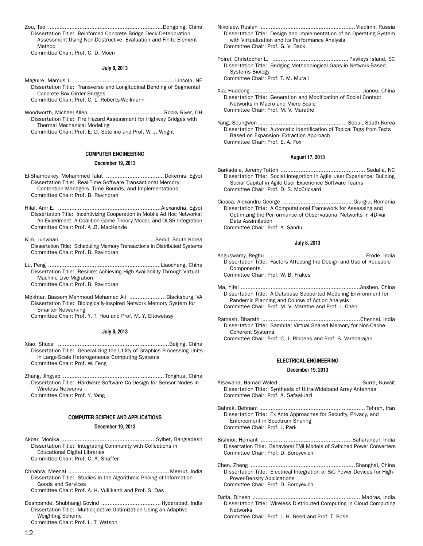Zou, Tao .....................................................................Dongping, China Dissertation Title: Reinforced Concrete Bridge Deck Deterioration Assessment Using Non-Destructive Evaluation and Finite Element Method

Committee Chair: Prof. C. D. Moen

# **July 8, 2013**

- Maguire, Marcus J. ............................................................ Lincoln, NE Dissertation Title: Transverse and Longitudinal Bending of Segmental Concrete Box Girder Bridges Committee Chair: Prof. C. L. Roberts-Wollmann
- Woodworth, Michael Allen .............................................Rocky River, OH Dissertation Title: Fire Hazard Assessment for Highway Bridges with Thermal Mechanical Modeling

Committee Chair: Prof. E. D. Sotelino and Prof. W. J. Wright

### **COMPUTER ENGINEERING**

### **December 19, 2013**

- El-Shambakey, Mohammed Talat ...................................Dekernis, Egypt Dissertation Title: Real-Time Software Transactional Memory: Contention Managers, Time Bounds, and Implementations Committee Chair: Prof. B. Ravindran
- Hilal, Amr E. ..............................................................Alexandria, Egypt Dissertation Title: Incentivizing Cooperation in Mobile Ad Hoc Networks: An Experiment, A Coalition Game Theory Model, and OLSR Integration Committee Chair: Prof. A .B. MacKenzie
- Kim, Junwhan ........................................................ Seoul, South Korea Dissertation Title: Scheduling Memory Transactions in Distributed Systems Committee Chair: Prof. B. Ravindran
- Lu, Peng ....................................................................Liaocheng, China Dissertation Title: Resilire: Achieving High Availability Through Virtual Machine Live Migration Committee Chair: Prof. B. Ravindran
- Mokhtar, Bassem Mahmoud Mohamed Ali ......................Blacksburg, VA Dissertation Title: Biologically-inspired Network Memory System for Smarter Networking

Committee Chair: Prof. Y. T. Hou and Prof. M. Y. Eltoweissy

## **July 8, 2013**

- Xiao, Shucai ...................................................................Beijing, China Dissertation Title: Generalizing the Utility of Graphics Processing Units in Large-Scale Heterogeneous Computing Systems Committee Chair: Prof. W. Feng
- Zhang, Jingyao ............................................................. Tonghua, China Dissertation Title: Hardware-Software Co-Design for Sensor Nodes in Wireless Networks Committee Chair: Prof. Y. Yang

## **COMPUTER SCIENCE AND APPLICATIONS**

### **December 19, 2013**

- Akbar, Monika .........................................................Sylhet, Bangladesh Dissertation Title: Integrating Community with Collections in Educational Digital Libraries Committee Chair: Prof. C. A. Shaffer
- Chhabra, Meenal ............................................................. Meerut, India Dissertation Title: Studies in the Algorithmic Pricing of Information Goods and Services Committee Chair: Prof. A. K. Vullikanti and Prof. S. Das
- Deshpande, Shubhangi Govind ....................................Hyderabad, India Dissertation Title: Multiobjective Optimization Using an Adaptive Weighting Scheme
	- Committee Chair: Prof. L. T. Watson
- Nikolaev, Ruslan ......................................................... Vladimir, Russia Dissertation Title: Design and Implementation of an Operating System with Virtualization and its Performance Analysis Committee Chair: Prof. G. V. Back
- Poirel, Christopher L. .............................................. Pawleys Island, SC Dissertation Title: Bridging Methodological Gaps in Network-Based Systems Biology Committee Chair: Prof. T. M. Murali
- Xia, Huadong .................................................................. Jianou, China Dissertation Title: Generation and Modification of Social Contact Networks in Macro and Micro Scale Committee Chair: Prof. M. V. Marathe
- Yang, Seungwon ..................................................... Seoul, South Korea Dissertation Title: Automatic Identification of Topical Tags from Texts Based on Expansion- Extraction Approach Committee Chair: Prof. E. A. Fox

# **August 17, 2013**

- Barksdale, Jeremy Totton ................................................... Sedalia, NC Dissertation Title: Social Integration in Agile User Experience: Building Social Capital in Agile User Experience Software Teams Committee Chair: Prof. D. S. McCrickard
- Cioaca, Alexandru George ...........................................Giurgiu, Romania Dissertation Title: A Computational Framework for Assessing and Optimizing the Performance of Observational Networks in 4D-Var Data Assimilation Committee Chair: Prof. A. Sandu

# **July 8, 2013**

Anguswamy, Reghu ............................................................ Erode, India Dissertation Title: Factors Affecting the Design and Use of Reusable Components

Committee Chair: Prof. W. B. Frakes

- Ma, Yifei ........................................................................Anshen, China Dissertation Title: A Database Supported Modeling Environment for Pandemic Planning and Course of Action Analysis Committee Chair: Prof. M. V. Marathe and Prof. J. Chen
- Ramesh, Bharath ...........................................................Chennai, India Dissertation Title: Samhita: Virtual Shared Memory for Non-Cache-Coherent Systems Committee Chair: Prof. C. J. Ribbens and Prof. S. Varadarajan
	-

# **ELECTRICAL ENGINEERING**

# **December 19, 2013**

- Alsawaha, Hamad Waled ..................................................Surra, Kuwait Dissertation Title: Synthesis of Ultra-Wideband Array Antennas Committee Chair: Prof. A. Safaai-Jazi
- Bahrak, Behnam ............................................................... Tehran, Iran Dissertation Title: Ex Ante Approaches for Security, Privacy, and Enforcement in Spectrum Sharing Committee Chair: Prof. J. Park
- Bishnoi, Hemant .......................................................Saharanpur, India Dissertation Title: Behavioral EMI Models of Switched Power Converters Committee Chair: Prof. D. Boroyevich
- Chen, Zheng ...............................................................Shanghai, China Dissertation Title: Electrical Integration of SiC Power Devices for High-Power-Density Applications Committee Chair: Prof. D. Boroyevich
- Datla, Dinesh ..................................................................Madras, India Dissertation Title: Wireless Distributed Computing in Cloud Computing **Networks** 
	- Committee Chair: Prof. J. H. Reed and Prof. T. Bose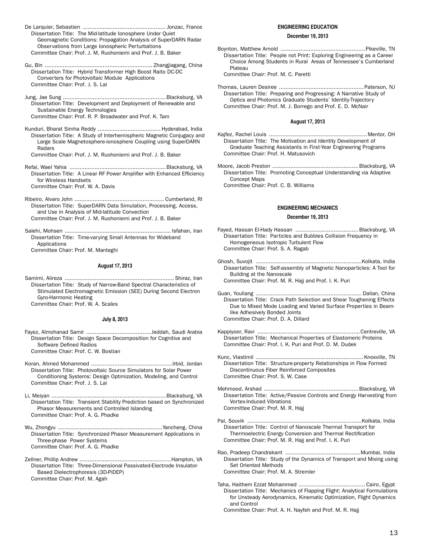- De Larquier, Sebastien .................................................. Jonzac, France Dissertation Title: The Mid-latitude Ionosphere Under Quiet Geomagnetic Conditions: Propagation Analysis of SuperDARN Radar Observations from Large Ionospheric Perturbations Committee Chair: Prof. J. M. Ruohoniemi and Prof. J. B. Baker
- Gu, Bin ................................................................. Zhangjiagang, China Dissertation Title: Hybrid Transformer High Boost Raito DC-DC Converters for Photovoltaic Module Applications Committee Chair: Prof. J. S. Lai
- Jung, Jae Sung ..............................................................Blacksburg, VA Dissertation Title: Development and Deployment of Renewable and Sustainable Energy Technologies Committee Chair: Prof. R. P. Broadwater and Prof. K. Tam
- Kunduri, Bharat Simha Reddy ......................................Hyderabad, India Dissertation Title: A Study of Interhemispheric Magnetic Conjugacy and Large Scale Magnetosphere-ionosphere Coupling using SuperDARN Radars
- Committee Chair: Prof. J. M. Ruohoniemi and Prof. J. B. Baker
- Refai, Wael Yahia ..........................................................Blacksburg, VA Dissertation Title: A Linear RF Power Amplifier with Enhanced Efficiency for Wireless Handsets
	- Committee Chair: Prof. W. A. Davis
- Ribeiro, Alvaro John ...................................................... Cumberland, RI Dissertation Title: SuperDARN Data Simulation, Processing, Access, and Use in Analysis of Mid-latitude Convection Committee Chair: Prof. J. M. Ruohoniemi and Prof. J. B. Baker
- Salehi, Mohsen ................................................................ Isfahan, Iran Dissertation Title: Time-varying Small Antennas for Wideband Applications

Committee Chair: Prof. M. Manteghi

# **August 17, 2013**

Samimi, Alireza .................................................................. Shiraz, Iran Dissertation Title: Study of Narrow-Band Spectral Characteristics of Stimulated Electromagnetic Emission (SEE) During Second Electron Gyro-Harmonic Heating

Committee Chair: Prof. W. A. Scales

# **July 8, 2013**

- Fayez, Almohanad Samir ....................................... Jeddah, Saudi Arabia Dissertation Title: Design Space Decomposition for Cognitive and Software Defined Radios Committee Chair: Prof. C. W. Bostian
- Koran, Ahmed Mohammed .................................................Irbid, Jordan Dissertation Title: Photovoltaic Source Simulators for Solar Power Conditioning Systems: Design Optimization, Modeling, and Control Committee Chair: Prof. J. S. Lai
- Li, Meiyan .....................................................................Blacksburg, VA Dissertation Title: Transient Stability Prediction based on Synchronized Phasor Measurements and Controlled Islanding Committee Chair: Prof. A. G. Phadke
- Wu, Zhongyu ...............................................................Yancheng, China Dissertation Title: Synchronized Phasor Measurement Applications in Three-phase Power Systems Committee Chair: Prof. A. G. Phadke
- Zellner, Phillip Andrew .......................................................Hampton, VA Dissertation Title: Three-Dimensional Passivated-Electrode Insulator-Based Dielectrophoresis (3D-PiDEP) Committee Chair: Prof. M. Agah

## **ENGINEERING EDUCATION**

# **December 19, 2013**

Boynton, Matthew Arnold ...................................................Pikeville, TN Dissertation Title: People not Print: Exploring Engineering as a Career Choice Among Students in Rural Areas of Tennessee's Cumberland Plateau

Committee Chair: Prof. M. C. Paretti

Thomas, Lauren Desiree ................................................... Paterson, NJ Dissertation Title: Preparing and Progressing: A Narrative Study of Optics and Photonics Graduate Students' Identity-Trajectory Committee Chair: Prof. M. J. Borrego and Prof. E. D. McNair

### **August 17, 2013**

- Kajfez, Rachel Louis ........................................................... Mentor, OH Dissertation Title: The Motivation and Identity Development of Graduate Teaching Assistants in First-Year Engineering Programs Committee Chair: Prof. H. Matusovich
- Moore, Jacob Preston ....................................................Blacksburg, VA Dissertation Title: Promoting Conceptual Understanding via Adaptive Concept Maps Committee Chair: Prof. C. B. Williams

# **ENGINEERING MECHANICS**

## **December 19, 2013**

- Fayed, Hassan El-Hady Hassan ......................................Blacksburg, VA Dissertation Title: Particles and Bubbles Collision Frequency in Homogeneous Isotropic Turbulent Flow Committee Chair: Prof. S. A. Ragab
- Ghosh, Suvojit ................................................................Kolkata, India Dissertation Title: Self-assembly of Magnetic Nanoparticles: A Tool for Building at the Nanoscale Committee Chair: Prof. M. R. Hajj and Prof. I. K. Puri
- Guan, Youliang ................................................................ Dalian, China Dissertation Title: Crack Path Selection and Shear Toughening Effects Due to Mixed Mode Loading and Varied Surface Properties in Beamlike Adhesively Bonded Joints Committee Chair: Prof. D. A. Dillard
- Kappiyoor, Ravi ..............................................................Centreville, VA Dissertation Title: Mechanical Properties of Elastomeric Proteins Committee Chair: Prof. I. K. Puri and Prof. D. M. Dudek
- Kunc, Vlastimil .................................................................Knoxville, TN Dissertation Title: Structure-property Relationships in Flow Formed Discontinuous Fiber Reinforced Composites Committee Chair: Prof. S. W. Case
- Mehmood, Arshad .........................................................Blacksburg, VA Dissertation Title: Active/Passive Controls and Energy Harvesting from Vortex-Induced Vibrations Committee Chair: Prof. M. R. Hajj
- Pal, Souvik .....................................................................Kolkata, India Dissertation Title: Control of Nanoscale Thermal Transport for Thermoelectric Energy Conversion and Thermal Rectification Committee Chair: Prof. M. R. Hajj and Prof. I. K. Puri
- Rao, Pradeep Chandrakant .............................................Mumbai, India Dissertation Title: Study of the Dynamics of Transport and Mixing using Set Oriented Methods Committee Chair: Prof. M. A. Stremler
- Taha, Haithem Ezzat Mohammed ........................................ Cairo, Egypt Dissertation Title: Mechanics of Flapping Flight: Analytical Formulations for Unsteady Aerodynamics, Kinematic Optimization, Flight Dynamics and Control

Committee Chair: Prof. A. H. Nayfeh and Prof. M. R. Hajj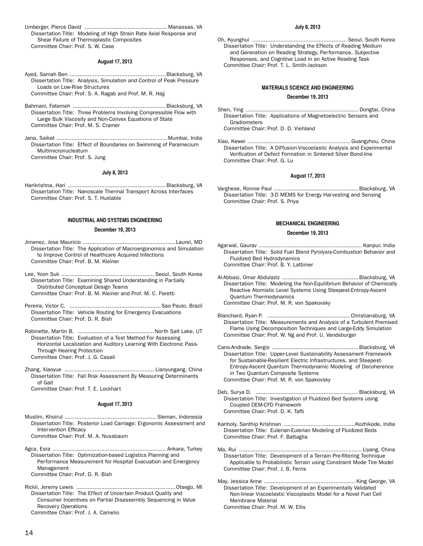Umberger, Pierce David ..................................................Manassas, VA Dissertation Title: Modeling of High Strain Rate Axial Response and Shear Failure of Thermoplastic Composites Committee Chair: Prof. S. W. Case

## **August 17, 2013**

Ayed, Samah Ben ..........................................................Blacksburg, VA Dissertation Title: Analysis, Simulation and Control of Peak Pressure Loads on Low-Rise Structures

Committee Chair: Prof. S. A. Ragab and Prof. M. R. Hajj

- Bahmani, Fatemeh ........................................................Blacksburg, VA Dissertation Title: Three Problems Involving Compressible Flow with Large Bulk Viscosity and Non-Convex Equations of State Committee Chair: Prof. M. S. Cramer
- Jana, Saikat ...................................................................Mumbai, India Dissertation Title: Effect of Boundaries on Swimming of Paramecium Multimicronucleatum Committee Chair: Prof. S. Jung

### **July 8, 2013**

Harikrishna, Hari ...........................................................Blacksburg, VA Dissertation Title: Nanoscale Thermal Transport Across Interfaces Committee Chair: Prof. S. T. Huxtable

# **INDUSTRIAL AND SYSTEMS ENGINEERING**

## **December 19, 2013**

- Jimenez, Jose Mauricio ........................................................Laurel, MD Dissertation Title: The Application of Macroergonomics and Simulation to Improve Control of Healthcare Acquired Infections Committee Chair: Prof. B. M. Kleiner
- Lee, Yoon Suk ........................................................ Seoul, South Korea Dissertation Title: Examining Shared Understanding in Partially Distributed Conceptual Design Teams Committee Chair: Prof. B. M. Kleiner and Prof. M. C. Paretti
- Pereira, Victor C. .......................................................Sao Paulo, Brazil Dissertation Title: Vehicle Routing for Emergency Evacuations Committee Chair: Prof. D. R. Bish
- Robinette, Martin B. ..............................................North Salt Lake, UT Dissertation Title: Evaluation of a Test Method For Assessing Horizontal Localization and Auditory Learning With Electronic Pass-Through Hearing Protection Committee Chair: Prof. J. G. Casali
- Zhang, Xiaoyue ...................................................... Lianyungang, China Dissertation Title: Fall Risk Assessment By Measuring Determinants of Gait

Committee Chair: Prof. T. E. Lockhart

### **August 17, 2013**

Muslim, Khoirul ....................................................... Sleman, Indonesia Dissertation Title: Posterior Load Carriage: Ergonomic Assessment and Intervention Efficacy

Committee Chair: Prof. M. A. Nussbaum

- Agca, Esra .................................................................... Ankara, Turkey Dissertation Title: Optimization-based Logistics Planning and Performance Measurement for Hospital Evacuation and Emergency Management Committee Chair: Prof. D. R. Bish
- Rickli, Jeremy Lewis ............................................................Otsego, MI Dissertation Title: The Effect of Uncertain Product Quality and Consumer Incentives on Partial Disassembly Sequencing in Value Recovery Operations Committee Chair: Prof. J. A. Camelio

### **July 8, 2013**

Oh, Kyunghui ......................................................... Seoul, South Korea Dissertation Title: Understanding the Effects of Reading Medium and Generation on Reading Strategy, Performance, Subjective Responses, and Cognitive Load in an Active Reading Task Committee Chair: Prof. T. L. Smith-Jackson

# **MATERIALS SCIENCE AND ENGINEERING**

### **December 19, 2013**

- Shen, Ying .................................................................... Dongtai, China Dissertation Title: Applications of Magnetoelectric Sensors and Gradiometers Committee Chair: Prof. D. D. Viehland
- Xiao, Kewei .............................................................. Guangzhou, China Dissertation Title: A Diffusion-Viscoelastic Analysis and Experimental Verification of Defect Formation in Sintered Silver Bond-line Committee Chair: Prof. G. Lu

### **August 17, 2013**

Varghese, Ronnie Paul ...................................................Blacksburg, VA Dissertation Title: 3-D MEMS for Energy Harvesting and Sensing Committee Chair: Prof. S. Priya

### **MECHANICAL ENGINEERING**

### **December 19, 2013**

- Agarwal, Gaurav .............................................................. Kanpur, India Dissertation Title: Solid Fuel Blend Pyrolysis-Combustion Behavior and Fluidized Bed Hydrodynamics Committee Chair: Prof. B. Y. Lattimer
- Al-Abbasi, Omar Abdulaziz ..............................................Blacksburg, VA Dissertation Title: Modeling the Non-Equilibrium Behavior of Chemically Reactive Atomistic Level Systems Using Steepest-Entropy-Ascent Quantum Thermodynamics Committee Chair: Prof. M. R. von Spakovsky
- Blanchard, Ryan P. ..................................................Christiansburg, VA Dissertation Title: Measurements and Analysis of a Turbulent Premixed Flame Using Decomposition Techniques and Large-Eddy Simulation Committee Chair: Prof. W. Ng and Prof. U. Vandsburger
- Cano-Andrade, Sergio ....................................................Blacksburg, VA Dissertation Title: Upper-Level Sustainability Assessment Framework for Sustainable-Resilient Electric Infrastructures, and Steepest-Entropy-Ascent Quantum Thermodynamic Modeling of Decoherence in Two Quantum Composite Systems Committee Chair: Prof. M. R. von Spakovsky
- Deb, Surya D. ..............................................................Blacksburg, VA Dissertation Title: Investigation of Fluidized Bed Systems using Coupled DEM-CFD Framework Committee Chair: Prof. D. K. Tafti
- Kanholy, Santhip Krishnan ...........................................Kozhikode, India Dissertation Title: Eulerian-Eulerian Modeling of Fluidized Beds Committee Chair: Prof. F. Battaglia
- Ma, Rui .......................................................................... Liyang, China Dissertation Title: Development of a Terrain Pre-filtering Technique Applicable to Probabilistic Terrain using Constraint Mode Tire Model Committee Chair: Prof. J. B. Ferris

May, Jessica Anne ....................................................... King George, VA Dissertation Title: Development of an Experimentally Validated Non-linear Viscoelastic Viscoplastic Model for a Novel Fuel Cell Membrane Material Committee Chair: Prof. M. W. Ellis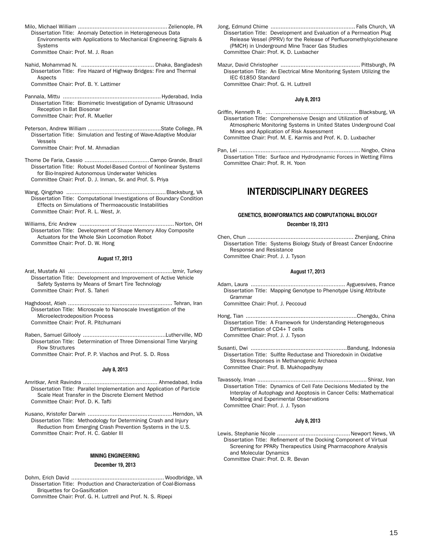- Milo, Michael William ...................................................... Zelienople, PA Dissertation Title: Anomaly Detection in Heterogeneous Data Environments with Applications to Mechanical Engineering Signals & Systems Committee Chair: Prof. M. J. Roan
- Nahid, Mohammad N. ............................................ Dhaka, Bangladesh Dissertation Title: Fire Hazard of Highway Bridges: Fire and Thermal Aspects Committee Chair: Prof. B. Y. Lattimer

Pannala, Mittu ...........................................................Hyderabad, India Dissertation Title: Biomimetic Investigation of Dynamic Ultrasound Reception in Bat Biosonar Committee Chair: Prof. R. Mueller

Peterson, Andrew William ............................................State College, PA Dissertation Title: Simulation and Testing of Wave-Adaptive Modular Vessels Committee Chair: Prof. M. Ahmadian

Thome De Faria, Cassio .......................................Campo Grande, Brazil Dissertation Title: Robust Model-Based Control of Nonlinear Systems for Bio-Inspired Autonomous Underwater Vehicles Committee Chair: Prof. D. J. Inman, Sr. and Prof. S. Priya

Wang, Qingzhao ............................................................Blacksburg, VA Dissertation Title: Computational Investigations of Boundary Condition Effects on Simulations of Thermoacoustic Instabilities Committee Chair: Prof. R. L. West, Jr.

Williams, Eric Andrew ......................................................... Norton, OH Dissertation Title: Development of Shape Memory Alloy Composite Actuators for the Whole Skin Locomotion Robot Committee Chair: Prof. D. W. Hong

# **August 17, 2013**

Arat, Mustafa Ali ...............................................................Izmir, Turkey Dissertation Title: Development and Improvement of Active Vehicle Safety Systems by Means of Smart Tire Technology Committee Chair: Prof. S. Taheri

Haghdoost, Atieh ............................................................... Tehran, Iran Dissertation Title: Microscale to Nanoscale Investigation of the Microelectrodeposition Process Committee Chair: Prof. R. Pitchumani

Raben, Samuel Gillooly ..................................................Lutherville, MD Dissertation Title: Determination of Three Dimensional Time Varying Flow Structures

Committee Chair: Prof. P. P. Vlachos and Prof. S. D. Ross

# **July 8, 2013**

Amritkar, Amit Ravindra ............................................. Ahmedabad, India Dissertation Title: Parallel Implementation and Application of Particle Scale Heat Transfer in the Discrete Element Method Committee Chair: Prof. D. K. Tafti

Kusano, Kristofer Darwin ...................................................Herndon, VA Dissertation Title: Methodology for Determining Crash and Injury Reduction from Emerging Crash Prevention Systems in the U.S. Committee Chair: Prof. H. C. Gabler III

# **MINING ENGINEERING**

# **December 19, 2013**

Dohm, Erich David ........................................................ Woodbridge, VA Dissertation Title: Production and Characterization of Coal-Biomass Briquettes for Co-Gasification

Committee Chair: Prof. G. H. Luttrell and Prof. N. S. Ripepi

- Jong, Edmund Chime ................................................... Falls Church, VA Dissertation Title: Development and Evaluation of a Permeation Plug Release Vessel (PPRV) for the Release of Perfluoromethylcyclohexane (PMCH) in Underground Mine Tracer Gas Studies Committee Chair: Prof. K. D. Luxbacher
- Mazur, David Christopher ................................................ Pittsburgh, PA Dissertation Title: An Electrical Mine Monitoring System Utilizing the IEC 61850 Standard Committee Chair: Prof. G. H. Luttrell

# **July 8, 2013**

- Griffin, Kenneth R. ........................................................Blacksburg, VA Dissertation Title: Comprehensive Design and Utilization of Atmospheric Monitoring Systems in United States Underground Coal Mines and Application of Risk Assessment Committee Chair: Prof. M. E. Karmis and Prof. K. D. Luxbacher
- Pan, Lei ......................................................................... Ningbo, China Dissertation Title: Surface and Hydrodynamic Forces in Wetting Films Committee Chair: Prof. R. H. Yoon

# **INTERDISCIPLINARY DEGREES**

# **GENETICS, BIOINFORMATICS AND COMPUTATIONAL BIOLOGY**

## **December 19, 2013**

Chen, Chun ................................................................ Zhenjiang, China Dissertation Title: Systems Biology Study of Breast Cancer Endocrine Response and Resistance Committee Chair: Prof. J. J. Tyson

## **August 17, 2013**

Adam, Laura ......................................................... Ayguesvives, France Dissertation Title: Mapping Genotype to Phenotype Using Attribute Grammar

Committee Chair: Prof. J. Peccoud

Hong, Tian ...................................................................Chengdu, China Dissertation Title: A Framework for Understanding Heterogeneous Differentiation of CD4+ T cells Committee Chair: Prof. J. J. Tyson

- Susanti, Dwi ..........................................................Bandung, Indonesia Dissertation Title: Sulfite Reductase and Thioredoxin in Oxidative Stress Responses in Methanogenic Archaea Committee Chair: Prof. B. Mukhopadhyay
- Tavassoly, Iman .................................................................. Shiraz, Iran Dissertation Title: Dynamics of Cell Fate Decisions Mediated by the Interplay of Autophagy and Apoptosis in Cancer Cells: Mathematical Modeling and Experimental Observations Committee Chair: Prof. J. J. Tyson

# **July 8, 2013**

Lewis, Stephanie Nicole ............................................Newport News, VA Dissertation Title: Refinement of the Docking Component of Virtual Screening for PPARy Therapeutics Using Pharmacophore Analysis and Molecular Dynamics Committee Chair: Prof. D. R. Bevan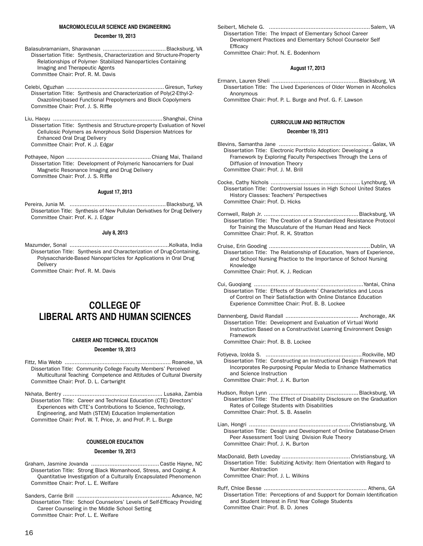### **MACROMOLECULAR SCIENCE AND ENGINEERING**

# **December 19, 2013**

- Balasubramaniam, Sharavanan ......................................Blacksburg, VA Dissertation Title: Synthesis, Characterization and Structure-Property Relationships of Polymer- Stabilized Nanoparticles Containing Imaging and Therapeutic Agents Committee Chair: Prof. R. M. Davis
- Celebi, Oguzhan ........................................................... Giresun, Turkey Dissertation Title: Synthesis and Characterization of Poly(2-Ethyl-2- Oxazoline)-based Functional Prepolymers and Block Copolymers Committee Chair: Prof. J. S. Riffle
- Liu, Haoyu ..................................................................Shanghai, China Dissertation Title: Synthesis and Structure-property Evaluation of Novel Cellulosic Polymers as Amorphous Solid Dispersion Matrices for Enhanced Oral Drug Delivery Committee Chair: Prof. K .J. Edgar
- Pothayee, Nipon ................................................... Chiang Mai, Thailand Dissertation Title: Development of Polymeric Nanocarriers for Dual Magnetic Resonance Imaging and Drug Delivery Committee Chair: Prof. J. S. Riffle

### **August 17, 2013**

Pereira, Junia M. ..........................................................Blacksburg, VA Dissertation Title: Synthesis of New Pullulan Derivatives for Drug Delivery Committee Chair: Prof. K. J. Edgar

### **July 8, 2013**

Mazumder, Sonal ............................................................Kolkata, India Dissertation Title: Synthesis and Characterization of Drug-Containing, Polysaccharide-Based Nanoparticles for Applications in Oral Drug Delivery

Committee Chair: Prof. R. M. Davis

# **COLLEGE OF LIBERAL ARTS AND HUMAN SCIENCES**

# **CAREER AND TECHNICAL EDUCATION**

### **December 19, 2013**

- Fittz, Mia Webb ................................................................ Roanoke, VA Dissertation Title: Community College Faculty Members' Perceived Multicultural Teaching Competence and Attitudes of Cultural Diversity Committee Chair: Prof. D. L. Cartwright
- Nkhata, Bentry ............................................................ Lusaka, Zambia Dissertation Title: Career and Technical Education (CTE) Directors' Experiences with CTE's Contributions to Science, Technology, Engineering, and Math (STEM) Education Implementation Committee Chair: Prof. W. T. Price, Jr. and Prof. P. L. Burge

# **COUNSELOR EDUCATION**

## **December 19, 2013**

- Graham, Jasmine Jovanda ......................................... Castle Hayne, NC Dissertation Title: Strong Black Womanhood, Stress, and Coping: A Quantitative Investigation of a Culturally Encapsulated Phenomenon Committee Chair: Prof. L. E. Welfare
- Sanders, Carrie Brill ......................................................... Advance, NC Dissertation Title: School Counselors' Levels of Self-Efficacy Providing Career Counseling in the Middle School Setting Committee Chair: Prof. L. E. Welfare

Seibert, Michele G. .............................................................Salem, VA Dissertation Title: The Impact of Elementary School Career Development Practices and Elementary School Counselor Self **Efficacy** 

Committee Chair: Prof. N. E. Bodenhorn

# **August 17, 2013**

- Ermann, Lauren Sheli ....................................................Blacksburg, VA Dissertation Title: The Lived Experiences of Older Women in Alcoholics Anonymous
	- Committee Chair: Prof. P. L. Burge and Prof. G. F. Lawson

### **CURRICULUM AND INSTRUCTION**

### **December 19, 2013**

- Blevins, Samantha Jane ........................................................Galax, VA Dissertation Title: Electronic Portfolio Adoption: Developing a Framework by Exploring Faculty Perspectives Through the Lens of Diffusion of Innovation Theory Committee Chair: Prof. J. M. Brill
- Cocke, Cathy Nichols ...................................................... Lynchburg, VA Dissertation Title: Controversial Issues in High School United States History Classes: Teachers' Perspectives Committee Chair: Prof. D. Hicks
- Cornwell, Ralph Jr. .........................................................Blacksburg, VA Dissertation Title: The Creation of a Standardized Resistance Protocol for Training the Musculature of the Human Head and Neck Committee Chair: Prof. R. K. Stratton
- Cruise, Erin Gooding .............................................................Dublin, VA Dissertation Title: The Relationship of Education, Years of Experience, and School Nursing Practice to the Importance of School Nursing Knowledge Committee Chair: Prof. K. J. Redican
- Cui, Guoqiang ..................................................................Yantai, China Dissertation Title: Effects of Students' Characteristics and Locus of Control on Their Satisfaction with Online Distance Education Experience Committee Chair: Prof. B. B. Lockee
- Dannenberg, David Randall ............................................ Anchorage, AK Dissertation Title: Development and Evaluation of Virtual World Instruction Based on a Constructivist Learning Environment Design Framework

Committee Chair: Prof. B. B. Lockee

- Fotiyeva, Izolda S. ..........................................................Rockville, MD Dissertation Title: Constructing an Instructional Design Framework that Incorporates Re-purposing Popular Media to Enhance Mathematics and Science Instruction Committee Chair: Prof. J. K. Burton
- Hudson, Robyn Lynn ......................................................Blacksburg, VA Dissertation Title: The Effect of Disability Disclosure on the Graduation Rates of College Students with Disabilities Committee Chair: Prof. S. B. Asselin
- Lian, Hongri .............................................................Christiansburg, VA Dissertation Title: Design and Development of Online Database-Driven Peer Assessment Tool Using Division Rule Theory Committee Chair: Prof. J. K. Burton
- MacDonald, Beth Loveday .........................................Christiansburg, VA Dissertation Title: Subitizing Activity: Item Orientation with Regard to Number Abstraction Committee Chair: Prof. J. L. Wilkins
- Ruff, Chloe Besse .............................................................. Athens, GA Dissertation Title: Perceptions of and Support for Domain Identification and Student Interest in First Year College Students Committee Chair: Prof. B. D. Jones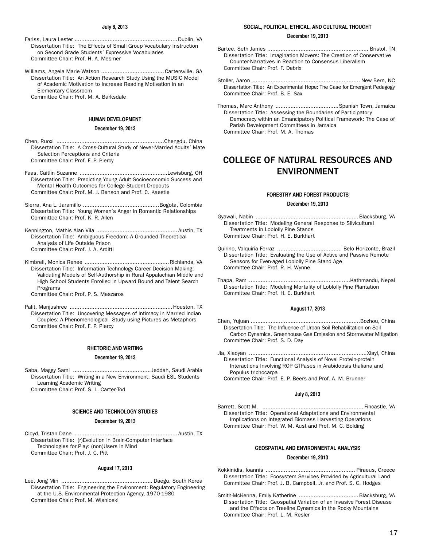Fariss, Laura Lester ..............................................................Dublin, VA Dissertation Title: The Effects of Small Group Vocabulary Instruction on Second Grade Students' Expressive Vocabularies Committee Chair: Prof. H. A. Mesmer

Williams, Angela Marie Watson ......................................Cartersville, GA Dissertation Title: An Action Research Study Using the MUSIC Model of Academic Motivation to Increase Reading Motivation in an Elementary Classroom Committee Chair: Prof. M. A. Barksdale

### **HUMAN DEVELOPMENT**

# **December 19, 2013**

- Chen, Ruoxi .................................................................Chengdu, China Dissertation Title: A Cross-Cultural Study of Never-Married Adults' Mate Selection Perceptions and Criteria Committee Chair: Prof. F. P. Piercy
- Faas, Caitlin Suzanne .....................................................Lewisburg, OH Dissertation Title: Predicting Young Adult Socioeconomic Success and Mental Health Outcomes for College Student Dropouts Committee Chair: Prof. M. J. Benson and Prof. C. Kaestle
- Sierra, Ana L. Jaramillo ..............................................Bogota, Colombia Dissertation Title: Young Women's Anger in Romantic Relationships Committee Chair: Prof. K. R. Allen
- Kennington, Mathis Alan Vila ................................................. Austin, TX Dissertation Title: Ambiguous Freedom: A Grounded Theoretical Analysis of Life Outside Prison Committee Chair: Prof. J. A. Arditti
- Kimbrell, Monica Renee ...................................................Richlands, VA Dissertation Title: Information Technology Career Decision Making: Validating Models of Self-Authorship in Rural Appalachian Middle and High School Students Enrolled in Upward Bound and Talent Search Programs
	- Committee Chair: Prof. P. S. Meszaros
- Palit, Manjushree ..............................................................Houston, TX Dissertation Title: Uncovering Messages of Intimacy in Married Indian Couples: A Phenomenological Study using Pictures as Metaphors Committee Chair: Prof. F. P. Piercy

# **RHETORIC AND WRITING**

### **December 19, 2013**

Saba, Maggy Sami ............................................... Jeddah, Saudi Arabia Dissertation Title: Writing in a New Environment: Saudi ESL Students Learning Academic Writing Committee Chair: Prof. S. L. Carter-Tod

# **SCIENCE AND TECHNOLOGY STUDIES**

# **December 19, 2013**

Cloyd, Tristan Dane .............................................................. Austin, TX Dissertation Title: (r)Evolution in Brain-Computer Interface Technologies for Play: (non)Users in Mind Committee Chair: Prof. J. C. Pitt

### **August 17, 2013**

Lee, Jong Min ....................................................... Daegu, South Korea Dissertation Title: Engineering the Environment: Regulatory Engineering at the U.S. Environmental Protection Agency, 1970-1980 Committee Chair: Prof. M. Wisnioski

### **SOCIAL, POLITICAL, ETHICAL, AND CULTURAL THOUGHT**

### **December 19, 2013**

- Bartee, Seth James ............................................................. Bristol, TN Dissertation Title: Imagination Movers: The Creation of Conservative Counter-Narratives in Reaction to Consensus Liberalism Committee Chair: Prof. F. Debrix
- Stoller, Aaron ................................................................. New Bern, NC Dissertation Title: An Experimental Hope: The Case for Emergent Pedagogy Committee Chair: Prof. B. E. Sax
- Thomas, Marc Anthony ......................................Spanish Town, Jamaica Dissertation Title: Assessing the Boundaries of Participatory Democracy within an Emancipatory Political Framework: The Case of Parish Development Committees in Jamaica Committee Chair: Prof. M. A. Thomas

# COLLEGE OF NATURAL RESOURCES AND ENVIRONMENT

# **FORESTRY AND FOREST PRODUCTS**

# **December 19, 2013**

- Gyawali, Nabin ..............................................................Blacksburg, VA Dissertation Title: Modeling General Response to Silvicultural Treatments in Loblolly Pine Stands Committee Chair: Prof. H. E. Burkhart
- Quirino, Valquiria Ferraz ....................................... Belo Horizonte, Brazil Dissertation Title: Evaluating the Use of Active and Passive Remote Sensors for Even-aged Loblolly Pine Stand Age Committee Chair: Prof. R. H. Wynne
- Thapa, Ram .............................................................Kathmandu, Nepal Dissertation Title: Modeling Mortality of Loblolly Pine Plantation Committee Chair: Prof. H. E. Burkhart

### **August 17, 2013**

- Chen, Yujuan ..................................................................Bozhou, China Dissertation Title: The Influence of Urban Soil Rehabilitation on Soil Carbon Dynamics, Greenhouse Gas Emission and Stormwater Mitigation Committee Chair: Prof. S. D. Day
- Jia, Xiaoyan .......................................................................Xiayi, China Dissertation Title: Functional Analysis of Novel Protein-protein Interactions Involving ROP GTPases in Arabidopsis thaliana and Populus trichocarpa

Committee Chair: Prof. E. P. Beers and Prof. A. M. Brunner

### **July 8, 2013**

Barrett, Scott M. ............................................................. Fincastle, VA Dissertation Title: Operational Adaptations and Environmental Implications on Integrated Biomass Harvesting Operations Committee Chair: Prof. W. M. Aust and Prof. M. C. Bolding

# **GEOSPATIAL AND ENVIRONMENTAL ANALYSIS**

### **December 19, 2013**

- Kokkinidis, Ioannis ...................................................... Piraeus, Greece Dissertation Title: Ecosystem Services Provided by Agricultural Land Committee Chair: Prof. J. B. Campbell, Jr. and Prof. S. C. Hodges
- Smith-McKenna, Emily Katherine ....................................Blacksburg, VA Dissertation Title: Geospatial Variation of an Invasive Forest Disease and the Effects on Treeline Dynamics in the Rocky Mountains Committee Chair: Prof. L. M. Resler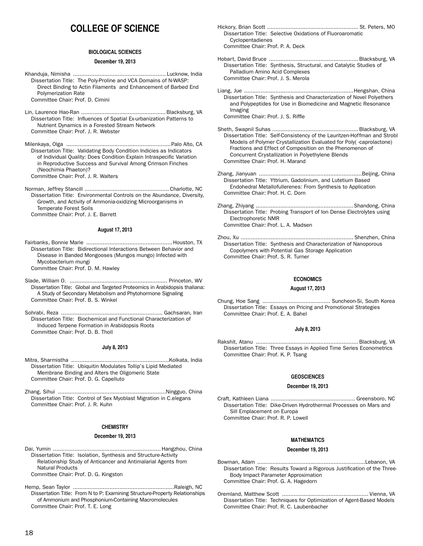# **COLLEGE OF SCIENCE**

# **BIOLOGICAL SCIENCES**

### **December 19, 2013**

Khanduja, Nimisha ........................................................ Lucknow, India Dissertation Title: The Poly-Proline and VCA Domains of N-WASP: Direct Binding to Actin Filaments and Enhancement of Barbed End Polymerization Rate Committee Chair: Prof. D. Cimini

Lin, Laurence Hao-Ran ...................................................Blacksburg, VA Dissertation Title: Influences of Spatial Ex-urbanization Patterns to Nutrient Dynamics in a Forested Stream Network Committee Chair: Prof. J. R. Webster

Milenkaya, Olga ...............................................................Palo Alto, CA Dissertation Title: Validating Body Condition Indicies as Indicators of Individual Quality: Does Condition Explain Intraspecific Variation in Reproductive Success and Survival Among Crimson Finches (Neochimia Phaeton)? Committee Chair: Prof. J. R. Walters

Norman, Jeffrey Stancill ................................................... Charlotte, NC Dissertation Title: Environmental Controls on the Abundance, Diversity, Growth, and Activity of Ammonia-oxidizing Microorganisms in Temperate Forest Soils Committee Chair: Prof. J. E. Barrett

### **August 17, 2013**

Fairbanks, Bonnie Marie ....................................................Houston, TX Dissertation Title: Bidirectional Interactions Between Behavior and Disease in Banded Mongooses (Mungos mungo) Infected with Mycobacterium mungi Committee Chair: Prof. D. M. Hawley

- Slade, William O. ........................................................... Princeton, WV Dissertation Title: Global and Targeted Proteomics in Arabidopsis thaliana: A Study of Secondary Metabolism and Phytohormone Signaling Committee Chair: Prof. B. S. Winkel
- Sohrabi, Reza ............................................................. Gachsaran, Iran Dissertation Title: Biochemical and Functional Characterization of Induced Terpene Formation in Arabidopsis Roots Committee Chair: Prof. D. B. Tholl

### **July 8, 2013**

- Mitra, Sharmistha ...........................................................Kolkata, India Dissertation Title: Ubiquitin Modulates Tollip's Lipid Mediated Membrane Binding and Alters the Oligomeric State Committee Chair: Prof. D. G. Capelluto
- Zhang, Sihui .................................................................Ningguo, China Dissertation Title: Control of Sex Myoblast Migration in C.elegans Committee Chair: Prof. J. R. Kuhn

# **CHEMISTRY**

# **December 19, 2013**

- Dai, Yumin .................................................................Hangzhou, China Dissertation Title: Isolation, Synthesis and Structure-Activity Relationship Study of Anticancer and Antimalarial Agents from Natural Products Committee Chair: Prof. D. G. Kingston
- Hemp, Sean Taylor .............................................................Raleigh, NC Dissertation Title: From N to P: Examining Structure-Property Relationships of Ammonium and Phosphonium-Containing Macromolecules Committee Chair: Prof. T. E. Long
- Hickory, Brian Scott ....................................................... St. Peters, MO Dissertation Title: Selective Oxidations of Fluoroaromatic Cyclopentadienes Committee Chair: Prof. P. A. Deck
- Hobart, David Bruce ......................................................Blacksburg, VA Dissertation Title: Synthesis, Structural, and Catalytic Studies of Palladium Amino Acid Complexes Committee Chair: Prof. J. S. Merola
- Liang, Jue ..................................................................Hengshan, China Dissertation Title: Synthesis and Characterization of Novel Polyethers and Polypeptides for Use in Biomedicine and Magnetic Resonance Imaging Committee Chair: Prof. J. S. Riffle
- Sheth, Swapnil Suhas ....................................................Blacksburg, VA Dissertation Title: Self-Consistency of the Lauritzen-Hoffman and Strobl Models of Polymer Crystallization Evaluated for Poly(-caprolactone) Fractions and Effect of Composition on the Phenomenon of Concurrent Crystallization in Polyethylene Blends Committee Chair: Prof. H. Marand
- Zhang, Jianyuan ..............................................................Beijing, China Dissertation Title: Yttrium, Gadolinium, and Lutetium Based Endohedral Metallofullerenes: From Synthesis to Application Committee Chair: Prof. H. C. Dorn
- Zhang, Zhiyang ...........................................................Shandong, China Dissertation Title: Probing Transport of Ion Dense Electrolytes using Electrophoretic NMR Committee Chair: Prof. L. A. Madsen

Zhou, Xu .................................................................... Shenzhen, China Dissertation Title: Synthesis and Characterization of Nanoporous Copolymers with Potential Gas Storage Application Committee Chair: Prof. S. R. Turner

# **ECONOMICS**

### **August 17, 2013**

Chung, Hoe Sang ......................................... Suncheon-Si, South Korea Dissertation Title: Essays on Pricing and Promotional Strategies Committee Chair: Prof. E. A. Bahel

# **July 8, 2013**

Rakshit, Atanu ..............................................................Blacksburg, VA Dissertation Title: Three Essays in Applied Time Series Econometrics Committee Chair: Prof. K. P. Tsang

# **GEOSCIENCES**

### **December 19, 2013**

Craft, Kathleen Liana ................................................... Greensboro, NC Dissertation Title: Dike-Driven Hydrothermal Processes on Mars and Sill Emplacement on Europa Committee Chair: Prof. R. P. Lowell

# **MATHEMATICS**

### **December 19, 2013**

- Bowman, Adam .................................................................Lebanon, VA Dissertation Title: Results Toward a Rigorous Justification of the Three-Body Impact Parameter Approximation Committee Chair: Prof. G. A. Hagedorn
- Oremland, Matthew Scott .................................................... Vienna, VA Dissertation Title: Techniques for Optimization of Agent-Based Models Committee Chair: Prof. R. C. Laubenbacher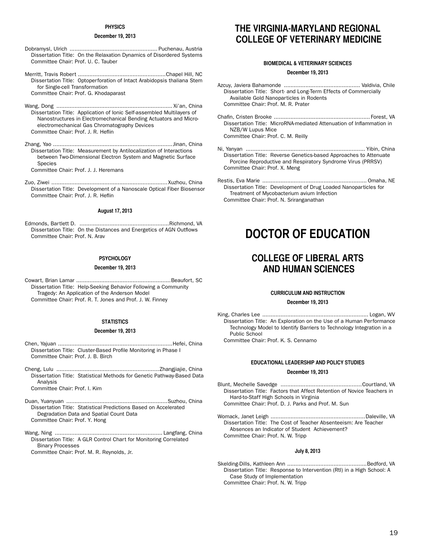# **PHYSICS**

# **December 19, 2013**

- Dobramysl, Ulrich ..................................................... Puchenau, Austria Dissertation Title: On the Relaxation Dynamics of Disordered Systems Committee Chair: Prof. U. C. Tauber
- Merritt, Travis Robert .....................................................Chapel Hill, NC Dissertation Title: Optoperforation of Intact Arabidopsis thaliana Stem for Single-cell Transformation Committee Chair: Prof. G. Khodaparast
- Wang, Dong ...................................................................... Xi'an, China Dissertation Title: Application of Ionic Self-assembled Multilayers of Nanostructures in Electromechanical Bending Actuators and Microelectromechanical Gas Chromatography Devices Committee Chair: Prof. J. R. Heflin
- Zhang, Yao ........................................................................Jinan, China Dissertation Title: Measurement by Antilocalization of Interactions between Two-Dimensional Electron System and Magnetic Surface **Species** Committee Chair: Prof. J. J. Heremans
- 
- Zuo, Ziwei ......................................................................Xuzhou, China Dissertation Title: Development of a Nanoscale Optical Fiber Biosensor Committee Chair: Prof. J. R. Heflin

### **August 17, 2013**

Edmonds, Bartlett D. ......................................................Richmond, VA Dissertation Title: On the Distances and Energetics of AGN Outflows Committee Chair: Prof. N. Arav

# **PSYCHOLOGY**

### **December 19, 2013**

Cowart, Brian Lamar .........................................................Beaufort, SC Dissertation Title: Help-Seeking Behavior Following a Community Tragedy: An Application of the Anderson Model Committee Chair: Prof. R. T. Jones and Prof. J. W. Finney

# **STATISTICS**

### **December 19, 2013**

- Chen, Yajuan .....................................................................Hefei, China Dissertation Title: Cluster-Based Profile Monitoring in Phase I Committee Chair: Prof. J. B. Birch
- Cheng, Lulu ..............................................................Zhangjiajie, China Dissertation Title: Statistical Methods for Genetic Pathway-Based Data Analysis
	- Committee Chair: Prof. I. Kim
- Duan, Yuanyuan .............................................................Suzhou, China Dissertation Title: Statistical Predictions Based on Accelerated Degradation Data and Spatial Count Data Committee Chair: Prof. Y. Hong
- Wang, Ning ................................................................. Langfang, China Dissertation Title: A GLR Control Chart for Monitoring Correlated Binary Processes

Committee Chair: Prof. M. R. Reynolds, Jr.

# **THE VIRGINIA-MARYLAND REGIONAL COLLEGE OF VETERINARY MEDICINE**

# **BIOMEDICAL & VETERINARY SCIENCES**

### **December 19, 2013**

- Azcuy, Javiera Bahamonde .............................................. Valdivia, Chile Dissertation Title: Short- and Long-Term Effects of Commercially Available Gold Nanoparticles in Rodents Committee Chair: Prof. M. R. Prater
- Chafin, Cristen Brooke .......................................................... Forest, VA Dissertation Title: MicroRNA-mediated Attenuation of Inflammation in NZB/W Lupus Mice Committee Chair: Prof. C. M. Reilly
- Ni, Yanyan ........................................................................ Yibin, China Dissertation Title: Reverse Genetics-based Approaches to Attenuate Porcine Reproductive and Respiratory Syndrome Virus (PRRSV) Committee Chair: Prof. X. Meng
- Restis, Eva Marie ............................................................... Omaha, NE Dissertation Title: Development of Drug Loaded Nanoparticles for Treatment of Mycobacterium avium Infection Committee Chair: Prof. N. Sriranganathan

# **DOCTOR OF EDUCATION**

# **COLLEGE OF LIBERAL ARTS AND HUMAN SCIENCES**

# **CURRICULUM AND INSTRUCTION**

### **December 19, 2013**

King, Charles Lee ................................................................ Logan, WV Dissertation Title: An Exploration on the Use of a Human Performance Technology Model to Identify Barriers to Technology Integration in a Public School

Committee Chair: Prof. K. S. Cennamo

# **EDUCATIONAL LEADERSHIP AND POLICY STUDIES**

# **December 19, 2013**

- Blunt, Mechelle Savedge .................................................Courtland, VA Dissertation Title: Factors that Affect Retention of Novice Teachers in Hard-to-Staff High Schools in Virginia Committee Chair: Prof. D. J. Parks and Prof. M. Sun
- Womack, Janet Leigh .........................................................Daleville, VA Dissertation Title: The Cost of Teacher Absenteeism: Are Teacher Absences an Indicator of Student Achievement? Committee Chair: Prof. N. W. Tripp

# **July 8, 2013**

Skelding-Dills, Kathleen Ann ................................................Bedford, VA Dissertation Title: Response to Intervention (RtI) in a High School: A Case Study of Implementation Committee Chair: Prof. N. W. Tripp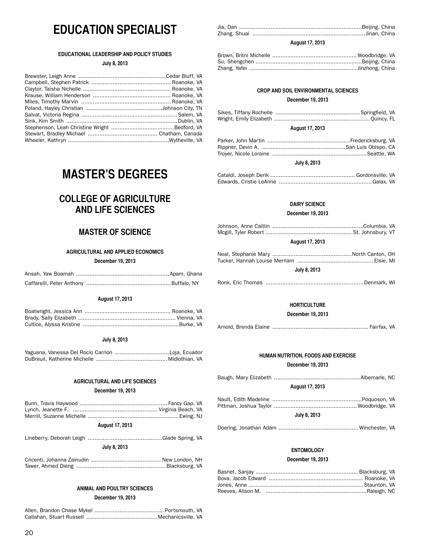# **EDUCATION SPECIALIST**

# **EDUCATIONAL LEADERSHIP AND POLICY STUDIES**

# **July 8, 2013**

# **MASTER'S DEGREES**

# **COLLEGE OF AGRICULTURE AND LIFE SCIENCES**

# **MASTER OF SCIENCE**

# **AGRICULTURAL AND APPLIED ECONOMICS**

# **December 19, 2013**

# **August 17, 2013**

# **July 8, 2013**

# **AGRICULTURAL AND LIFE SCIENCES**

# **December 19, 2013**

# **August 17, 2013**

| July 8, 2013 |  |
|--------------|--|
|              |  |

# **ANIMAL AND POULTRY SCIENCES**

# **December 19, 2013**

# **August 17, 2013**

# **CROP AND SOIL ENVIRONMENTAL SCIENCES**

# **December 19, 2013**

# **August 17, 2013**

# **July 8, 2013**

# **DAIRY SCIENCE**

# **December 19, 2013**

# **August 17, 2013**

# **July 8, 2013**

Ronk, Eric Thomas ...........................................................Denmark, WI

# **HORTICULTURE**

**December 19, 2013**

Arnold, Brenda Elaine .......................................................... Fairfax, VA

# **HUMAN NUTRITION, FOODS AND EXERCISE December 19, 2013**

| <b>August 17, 2013</b> |  |  |
|------------------------|--|--|
|                        |  |  |
| July 8, 2013           |  |  |

Doering, Jonathan Adam ................................................ Winchester, VA

# **ENTOMOLOGY**

# **December 19, 2013**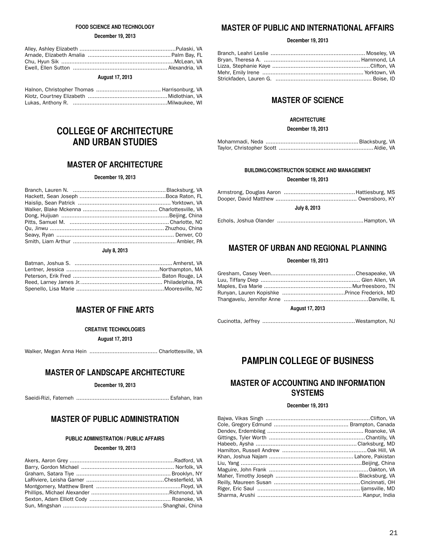# **FOOD SCIENCE AND TECHNOLOGY**

## **December 19, 2013**

| <b>August 17, 2013</b> |  |  |
|------------------------|--|--|

# **COLLEGE OF ARCHITECTURE AND URBAN STUDIES**

# **MASTER OF ARCHITECTURE**

# **December 19, 2013**

# **July 8, 2013**

# **MASTER OF FINE ARTS**

# **CREATIVE TECHNOLOGIES**

**August 17, 2013**

Walker, Megan Anna Hein ......................................... Charlottesville, VA

# **MASTER OF LANDSCAPE ARCHITECTURE**

**December 19, 2013**

Saeidi-Rizi, Fatemeh ........................................................ Esfahan, Iran

# **MASTER OF PUBLIC ADMINISTRATION**

# **PUBLIC ADMINISTRATION / PUBLIC AFFAIRS**

# **December 19, 2013**

# **MASTER OF PUBLIC AND INTERNATIONAL AFFAIRS**

# **December 19, 2013**

# **MASTER OF SCIENCE**

# **ARCHITECTURE**

**December 19, 2013**

# **BUILDING/CONSTRUCTION SCIENCE AND MANAGEMENT**

**December 19, 2013**

| July 8, 2013 |
|--------------|

Echols, Joshua Olander ....................................................Hampton, VA

# **MASTER OF URBAN AND REGIONAL PLANNING**

# **December 19, 2013**

# **August 17, 2013**

# **PAMPLIN COLLEGE OF BUSINESS**

# **MASTER OF ACCOUNTING AND INFORMATION SYSTEMS**

# **December 19, 2013**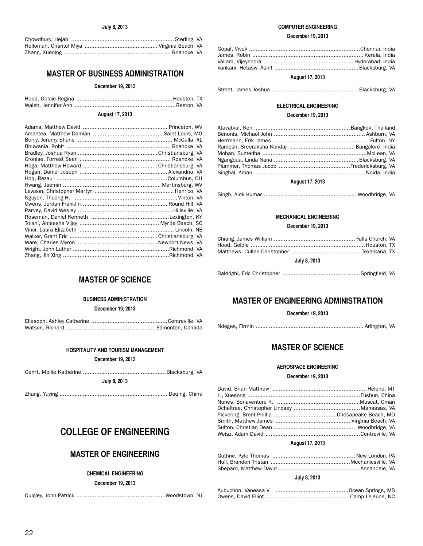# **MASTER OF BUSINESS ADMINISTRATION**

# **December 19, 2013**

# **August 17, 2013**

# **MASTER OF SCIENCE**

# **BUSINESS ADMINISTRATION**

**December 19, 2013**

Eliasoph, Ashley Catherine ..............................................Centreville, VA Watson, Richard ......................................................Edmonton, Canada

**December 19, 2013**

|--|--|--|

**July 8, 2013**

Zhang, Yuying ................................................................. Daqing, China

# **COLLEGE OF ENGINEERING**

# **MASTER OF ENGINEERING**

# **CHEMICAL ENGINEERING**

**December 19, 2013**

Quigley, John Patrick ..................................................... Woodstown, NJ

# **COMPUTER ENGINEERING**

# **December 19, 2013**

# **August 17, 2013**

Street, James Joshua ....................................................Blacksburg, VA

# **ELECTRICAL ENGINEERING December 19, 2013**

| <b>August 17, 2013</b> |  |
|------------------------|--|

|--|--|--|--|--|

# **MECHANICAL ENGINEERING**

# **December 19, 2013**

| July 8, 2013 |
|--------------|

|--|--|--|--|--|

# **MASTER OF ENGINEERING ADMINISTRATION**

**December 19, 2013**

Ndeges, Firmin ................................................................. Arlington, VA

# **MASTER OF SCIENCE**

# **AEROSPACE ENGINEERING**

### **December 19, 2013**

# **August 17, 2013**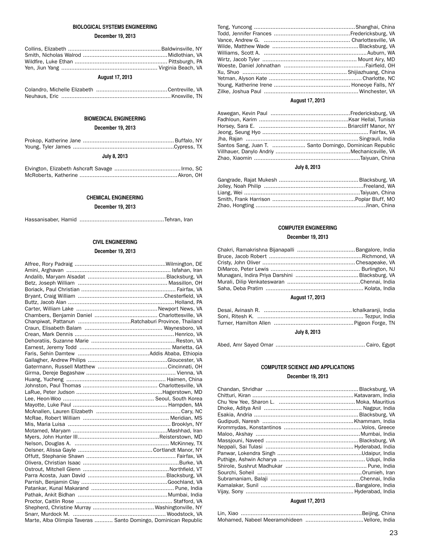# **BIOLOGICAL SYSTEMS ENGINEERING**

# **December 19, 2013**

| <b>August 17, 2013</b> |  |  |
|------------------------|--|--|

# **BIOMEDICAL ENGINEERING**

# **December 19, 2013**

| July 8, 2013 |  |
|--------------|--|

# **CHEMICAL ENGINEERING**

# **December 19, 2013**

|--|--|--|--|

# **CIVIL ENGINEERING**

# **December 19, 2013**

| Chanpiwat, Pattanun Ratchaburi Province, Thailand              |  |
|----------------------------------------------------------------|--|
|                                                                |  |
|                                                                |  |
|                                                                |  |
|                                                                |  |
|                                                                |  |
|                                                                |  |
|                                                                |  |
|                                                                |  |
|                                                                |  |
|                                                                |  |
|                                                                |  |
|                                                                |  |
|                                                                |  |
|                                                                |  |
|                                                                |  |
|                                                                |  |
|                                                                |  |
|                                                                |  |
|                                                                |  |
|                                                                |  |
|                                                                |  |
|                                                                |  |
|                                                                |  |
|                                                                |  |
|                                                                |  |
|                                                                |  |
|                                                                |  |
|                                                                |  |
|                                                                |  |
|                                                                |  |
| Marte, Alba Olimpia Taveras  Santo Domingo, Dominican Republic |  |

# **August 17, 2013**

| Santos Sang, Juan T.  Santo Domingo, Dominican Republic |
|---------------------------------------------------------|
|                                                         |
|                                                         |
|                                                         |

# **July 8, 2013**

# **COMPUTER ENGINEERING December 19, 2013**

| Chakri, Ramakrishna Bijanapalli Bangalore, India |  |
|--------------------------------------------------|--|
|                                                  |  |
|                                                  |  |
|                                                  |  |
|                                                  |  |
|                                                  |  |
|                                                  |  |

# **August 17, 2013**

| July 8, 2013 |  |
|--------------|--|

# **COMPUTER SCIENCE AND APPLICATIONS December 19, 2013**

| $\blacksquare$ |  |
|----------------|--|

# **August 17, 2013**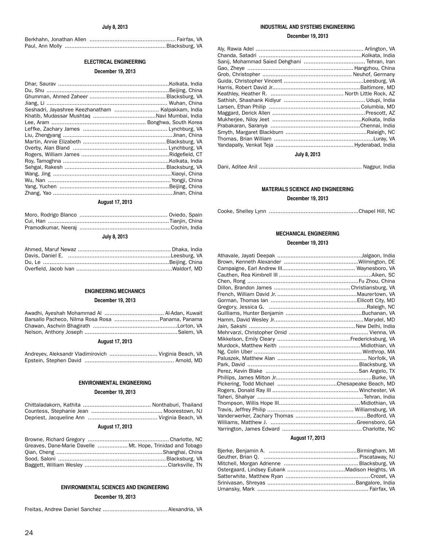# **ELECTRICAL ENGINEERING**

# **December 19, 2013**

| Seshadri, Jayashree Keezhanatham  Kalpakkam, India |  |
|----------------------------------------------------|--|
|                                                    |  |
|                                                    |  |
|                                                    |  |
|                                                    |  |
|                                                    |  |
|                                                    |  |
|                                                    |  |
|                                                    |  |
|                                                    |  |
|                                                    |  |
|                                                    |  |
|                                                    |  |
|                                                    |  |

# **August 17, 2013**

# **July 8, 2013**

## **ENGINEERING MECHANICS**

# **December 19, 2013**

| Barsallo Pacheco, Nilma Rosa Rosa Panama, Panama |  |
|--------------------------------------------------|--|
|                                                  |  |
|                                                  |  |

# **August 17, 2013**

| Andreyev, Aleksandr Vladimirovich  Virginia Beach, VA |
|-------------------------------------------------------|
|                                                       |

# **ENVIRONMENTAL ENGINEERING**

# **December 19, 2013**

# **August 17, 2013**

| Greaves, Dane-Marie Davelle  Mt. Hope, Trinidad and Tobago |
|------------------------------------------------------------|
|                                                            |
|                                                            |
|                                                            |

# **ENVIRONMENTAL SCIENCES AND ENGINEERING**

# **December 19, 2013**

Freitas, Andrew Daniel Sanchez ....................................... Alexandria, VA

# **INDUSTRIAL AND SYSTEMS ENGINEERING**

# **December 19, 2013**

| Aly, Rawia Adel …………………………………………………………… Arlington, VA |  |
|-------------------------------------------------------|--|
|                                                       |  |
|                                                       |  |
|                                                       |  |
|                                                       |  |
|                                                       |  |
|                                                       |  |
|                                                       |  |
|                                                       |  |
|                                                       |  |
|                                                       |  |
|                                                       |  |
|                                                       |  |
|                                                       |  |
|                                                       |  |
|                                                       |  |

# **July 8, 2013**

Dani, Aditee Anil .............................................................. Nagpur, India

# **MATERIALS SCIENCE AND ENGINEERING**

# **December 19, 2013**

Cooke, Shelley Lynn ......................................................Chapel Hill, NC

# **MECHANICAL ENGINEERING**

# **December 19, 2013**

| Jain, Sakshi …………………………………………………………New Delhi, India |
|-----------------------------------------------------|
|                                                     |
|                                                     |
|                                                     |
|                                                     |
|                                                     |
|                                                     |
|                                                     |
|                                                     |
| Pickering, Todd Michael Chesapeake Beach, MD        |
|                                                     |
|                                                     |
|                                                     |
|                                                     |
|                                                     |
|                                                     |
|                                                     |
|                                                     |

# **August 17, 2013**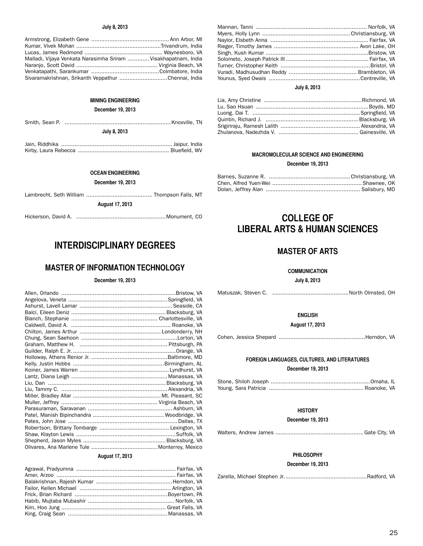# **July 8, 2013**

| Malladi, Vijaya Venkata Narasimha Sriram  Visakhapatnam, India |  |
|----------------------------------------------------------------|--|
|                                                                |  |
|                                                                |  |
| Sivaramakrishnan, Srikanth Veppathur Chennai, India            |  |

# **MINING ENGINEERING**

# **December 19, 2013**

| July 8, 2013 |  |  |  |
|--------------|--|--|--|
|              |  |  |  |

**OCEAN ENGINEERING**

**December 19, 2013**

| <b>August 17, 2013</b> |  |  |  |
|------------------------|--|--|--|

| Hickerson, David A. |  |  |
|---------------------|--|--|
|---------------------|--|--|

# **INTERDISCIPLINARY DEGREES**

# **MASTER OF INFORMATION TECHNOLOGY**

## **December 19, 2013**

# **August 17, 2013**

# **July 8, 2013**

| Quintin, Richard J. (1998). (2008). (2008). (2014). (2014). (2014). (2014). (2014). (2014). (2014). (2015). (2 |  |
|----------------------------------------------------------------------------------------------------------------|--|
|                                                                                                                |  |
| Zhulanova, Nadezhda V. ……………………………………………… Gainesville, VA                                                      |  |

# **MACROMOLECULAR SCIENCE AND ENGINEERING**

# **December 19, 2013**

# **COLLEGE OF LIBERAL ARTS & HUMAN SCIENCES**

# **MASTER OF ARTS**

# **COMMUNICATION**

**July 8, 2013**

Matuszak, Steven C. ..............................................North Olmsted, OH

# **ENGLISH**

**August 17, 2013**

Cohen, Jessica Shepard ....................................................Herndon, VA

# **FOREIGN LANGUAGES, CULTURES, AND LITERATURES December 19, 2013**

# **HISTORY**

# **December 19, 2013**

Walters, Andrew James ..................................................... Gate City, VA

# **PHILOSOPHY**

# **December 19, 2013**

Zarella, Michael Stephen Jr..................................................Radford, VA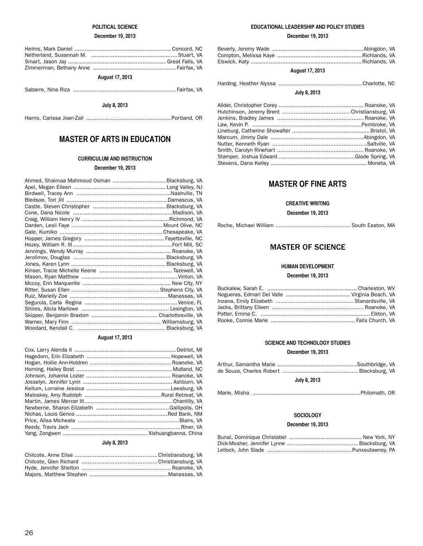# **POLITICAL SCIENCE**

# **December 19, 2013**

| <b>August 17, 2013</b> |  |  |
|------------------------|--|--|

Sabarre, Nina Riza .............................................................. Fairfax, VA

# **July 8, 2013**

Harris, Carissa Joan-Zall ................................................... Portland, OR

# **MASTER OF ARTS IN EDUCATION**

# **CURRICULUM AND INSTRUCTION**

# **December 19, 2013**

# **August 17, 2013**

# **July 8, 2013**

# **EDUCATIONAL LEADERSHIP AND POLICY STUDIES**

# **December 19, 2013**

# **August 17, 2013**

|--|--|--|--|--|

# **July 8, 2013**

# **MASTER OF FINE ARTS**

# **CREATIVE WRITING**

**December 19, 2013**

Roche, Michael William ............................................. South Easton, MA

# MASTER OF SCIENCE

# **HUMAN DEVELOPMENT**

# **December 19, 2013**

# **SCIENCE AND TECHNOLOGY STUDIES**

# **December 19, 2013**

| July 8, 2013 |  |
|--------------|--|

|--|--|--|--|--|

# **SOCIOLOGY**

# **December 19, 2013**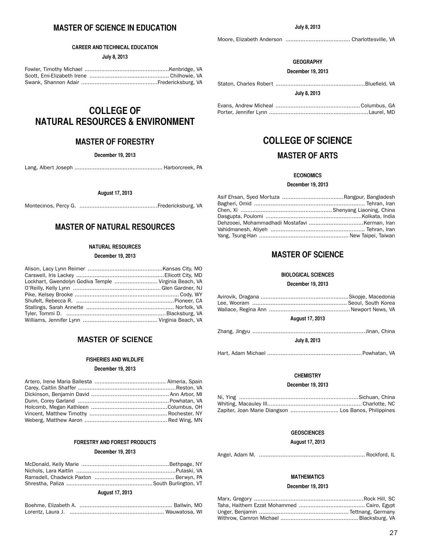# **MASTER OF SCIENCE IN EDUCATION**

## **CAREER AND TECHNICAL EDUCATION**

**July 8, 2013**

# **COLLEGE OF NATURAL RESOURCES & ENVIRONMENT**

# **MASTER OF FORESTRY**

# **December 19, 2013**

Lang, Albert Joseph ..................................................... Harborcreek, PA

# **August 17, 2013**

Montecinos, Percy G. ...............................................Fredericksburg, VA

# **MASTER OF NATURAL RESOURCES**

# **NATURAL RESOURCES**

### **December 19, 2013**

| Lockhart, Gwendolyn Godiva Temple  Virginia Beach, VA |  |
|-------------------------------------------------------|--|
|                                                       |  |
|                                                       |  |
|                                                       |  |
|                                                       |  |
|                                                       |  |
|                                                       |  |

# MASTER OF SCIENCE

## **FISHERIES AND WILDLIFE**

# **December 19, 2013**

# **FORESTRY AND FOREST PRODUCTS**

## **December 19, 2013**

# **August 17, 2013**

Moore, Elizabeth Anderson ....................................... Charlottesville, VA

# **GEOGRAPHY**

### **December 19, 2013**

**July 8, 2013**

# **COLLEGE OF SCIENCE MASTER OF ARTS**

# **ECONOMICS**

# **December 19, 2013**

# **MASTER OF SCIENCE**

# **BIOLOGICAL SCIENCES**

# **December 19, 2013**

# **August 17, 2013**

| July 8, 2013 |  |
|--------------|--|

Hart, Adam Michael .........................................................Powhatan, VA

# **CHEMISTRY**

### **December 19, 2013**

| Zapiter, Joan Marie Diangson  Los Banos, Philippines |
|------------------------------------------------------|

# **GEOSCIENCES**

# **August 17, 2013**

Angel, Adam M. ................................................................ Rockford, IL

# **MATHEMATICS**

# **December 19, 2013**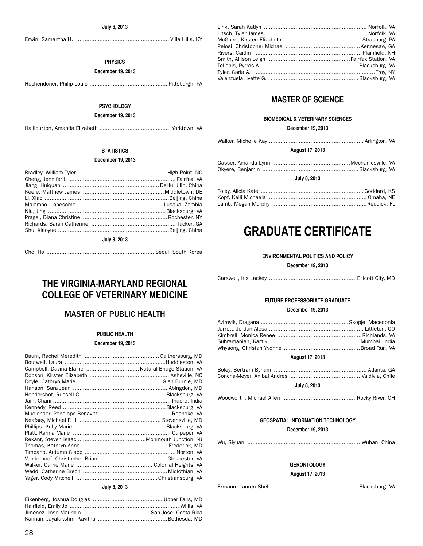Erwin, Samantha H. ....................................................... Villa Hills, KY

# **PHYSICS**

# **December 19, 2013**

Hochendoner, Philip Louis ............................................... Pittsburgh, PA

# **PSYCHOLOGY**

# **December 19, 2013**

Halliburton, Amanda Elizabeth ........................................... Yorktown, VA

# **STATISTICS**

# **December 19, 2013**

**July 8, 2013**

|--|--|--|--|--|

# **THE VIRGINIA-MARYLAND REGIONAL COLLEGE OF VETERINARY MEDICINE**

# MASTER OF PUBLIC HEALTH

# **PUBLIC HEALTH**

# **December 19, 2013**

| Campbell, Davina Elaine  Natural Bridge Station, VA |  |
|-----------------------------------------------------|--|
|                                                     |  |
|                                                     |  |
|                                                     |  |
|                                                     |  |
|                                                     |  |
|                                                     |  |
|                                                     |  |
|                                                     |  |
|                                                     |  |
|                                                     |  |
|                                                     |  |
|                                                     |  |
|                                                     |  |
|                                                     |  |
|                                                     |  |
|                                                     |  |
|                                                     |  |

### **July 8, 2013**

# **MASTER OF SCIENCE**

# **BIOMEDICAL & VETERINARY SCIENCES**

# **December 19, 2013**

|--|--|--|--|

**August 17, 2013**

**July 8, 2013**

# **GRADUATE CERTIFICATE**

# **ENVIRONMENTAL POLITICS AND POLICY**

**December 19, 2013**

|--|--|--|--|

# **FUTURE PROFESSORIATE GRADUATE**

# **December 19, 2013**

| $\blacksquare$ |  |
|----------------|--|

# **August 17, 2013**

| July 8, 2013 |  |
|--------------|--|

# Woodworth, Michael Allen .............................................Rocky River, OH

# **GEOSPATIAL INFORMATION TECHNOLOGY**

**December 19, 2013**

|--|--|--|--|--|

# **GERONTOLOGY**

**August 17, 2013**

Ermann, Lauren Sheli ....................................................Blacksburg, VA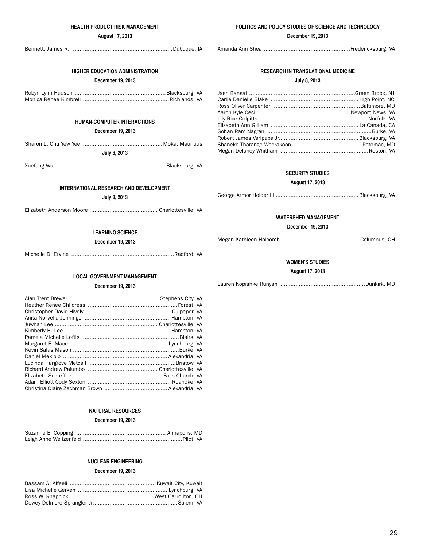# **HEALTH PRODUCT RISK MANAGEMENT**

# **August 17, 2013**

Bennett, James R. ............................................................Dubuque, IA

# **HIGHER EDUCATION ADMINISTRATION**

# **December 19, 2013**

Robyn Lynn Hudson .......................................................Blacksburg, VA Monica Renee Kimbrell ....................................................Richlands, VA

# **HUMAN-COMPUTER INTERACTIONS**

**December 19, 2013**

| July 8, 2013 |  |
|--------------|--|

Xuefang Wu ..................................................................Blacksburg, VA

# **INTERNATIONAL RESEARCH AND DEVELOPMENT**

**July 8, 2013**

Elizabeth Anderson Moore ........................................ Charlottesville, VA

# **LEARNING SCIENCE**

# **December 19, 2013**

Michelle D. Ervine ..............................................................Radford, VA

# **LOCAL GOVERNMENT MANAGEMENT**

# **December 19, 2013**

# **NATURAL RESOURCES**

# **December 19, 2013**

# **NUCLEAR ENGINEERING**

# **December 19, 2013**

# **POLITICS AND POLICY STUDIES OF SCIENCE AND TECHNOLOGY**

### **December 19, 2013**

Amanda Ann Shea ....................................................Fredericksburg, VA

# **RESEARCH IN TRANSLATIONAL MEDICINE July 8, 2013**

# **SECURITY STUDIES**

# **August 17, 2013**

George Armor Holder III ..................................................Blacksburg, VA

# **WATERSHED MANAGEMENT**

# **December 19, 2013**

Megan Kathleen Holcomb ...............................................Columbus, OH

# **WOMEN'S STUDIES**

# **August 17, 2013**

Lauren Kopishke Runyan ...................................................Dunkirk, MD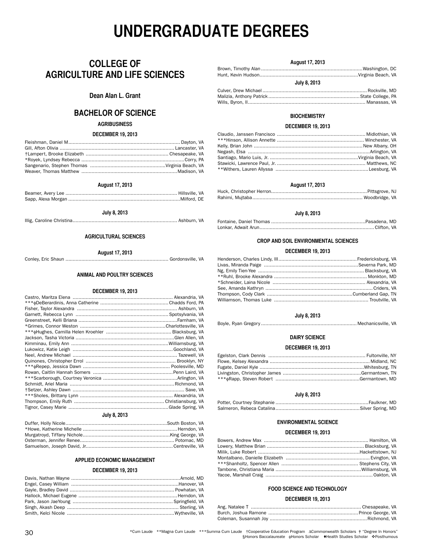# **UNDERGRADUATE DEGREES**

# **COLLEGE OF AGRICULTURE AND LIFE SCIENCES**

# **Dean Alan L. Grant**

# **BACHELOR OF SCIENCE**

## **AGRIBUSINESS**

### **DECEMBER 19, 2013**

# **August 17, 2013**

**July 8, 2013**

Illig, Caroline Christina........................................................................ Ashburn, VA

# **AGRICULTURAL SCIENCES**

### **August 17, 2013**

Conley, Eric Shaun ....................................................................... Gordonsville, VA

# **ANIMAL AND POULTRY SCIENCES**

# **DECEMBER 19, 2013**

# **July 8, 2013**

# **APPLIED ECONOMIC MANAGEMENT**

# **DECEMBER 19, 2013**

# **August 17, 2013**

| July 8, 2013 |  |
|--------------|--|

| Wills, Byron, II………………………………………………………………………… Manassas, VA |  |
|-----------------------------------------------------------|--|

# **BIOCHEMISTRY**

# **DECEMBER 19, 2013**

# **August 17, 2013**

# **July 8, 2013**

# **CROP AND SOIL ENVIRONMENTAL SCIENCES**

### **DECEMBER 19, 2013**

| Livas, Miranda Paige ……………………………………………………………Severna Park, MD |  |
|--------------------------------------------------------------|--|
|                                                              |  |
|                                                              |  |
|                                                              |  |
|                                                              |  |
|                                                              |  |
|                                                              |  |
|                                                              |  |

# **July 8, 2013**

# **DAIRY SCIENCE**

### **DECEMBER 19, 2013**

# **July 8, 2013**

# **ENVIRONMENTAL SCIENCE**

# **DECEMBER 19, 2013**

# **FOOD SCIENCE AND TECHNOLOGY**

### **DECEMBER 19, 2013**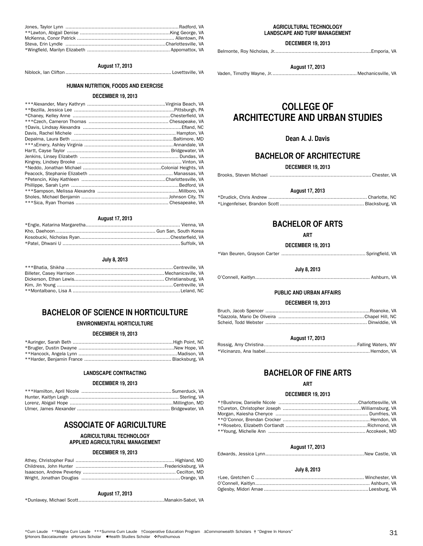| <b>UUIVU, LUIU</b> |            |
|--------------------|------------|
|                    |            |
|                    |            |
|                    | O'Connell, |
|                    |            |

\*\*Montalbano, Lisa A ..........................................................................Leland, NC

**July 8, 2013**

**August 17, 2013** \*Engle, Katarina Margaretha................................................................. Vienna, VA Kho, Daehoon..................................................................... Gun San, South Korea Kosobucki, Nicholas Ryan..............................................................Chesterfield, VA \*Patel, Dhwani U .................................................................................Suffolk, VA

Jones, Taylor Lynn ..............................................................................Radford, VA \*\*Lawton, Abigail Denise ..............................................................King George, VA McKenna, Conor Patrick ................................................................... Allentown, PA Steva, Erin Lyndle .....................................................................Charlottesville, VA \*Wingfield, Marilyn Elizabeth ......................................................... Appomattox, VA

**August 17, 2013** Niblock, Ian Clifton ......................................................................... Lovettsville, VA **HUMAN NUTRITION, FOODS AND EXERCISE DECEMBER 19, 2013** \*\*\*Alexander, Mary Kathryn ......................................................Virginia Beach, VA \*\*Bezilla, Jessica Lee .....................................................................Pittsburgh, PA \*Chaney, Kelley Anne ...................................................................Chesterfield, VA \*\*\*Czech, Cameron Thomas ....................................................... Chesapeake, VA †Davis, Lindsay Alexandra ....................................................................Efland, NC Davis, Rachel Michele ...................................................................... Hampton, VA Depalma, Laura Beth ......................................................................Baltimore, MD \*\*\*ΔEmery, Ashley Virginia ............................................................. Annandale, VA Hartt, Cayse Taylor ....................................................................... Bridgewater, VA Jenkins, Linsey Elizabeth .................................................................... Dundas, VA Kingrey, Lindsey Brooke ........................................................................ Vinton, VA \*Neddo, Jonathan Michael ......................................................Colonial Heights, VA Peacock, Stephanie Elizabeth .......................................................... Manassas, VA \*Petencin, Kiley Kathleen ..........................................................Charlottesville, VA Phillippe, Sarah Lynn ..........................................................................Bedford, VA \*\*\*Sampson, Melissa Alexandra ........................................................Millboro, VA Sholes, Michael Benjamin ............................................................Johnson City, TN \*\*\*Sica, Ryan Thomas ................................................................ Chesapeake, VA

# **ENVIRONMENTAL HORTICULTURE**

# **DECEMBER 19, 2013**

### **LANDSCAPE CONTRACTING**

### **DECEMBER 19, 2013**

# **ASSOCIATE OF AGRICULTURE**

### **AGRICULTURAL TECHNOLOGY APPLIED AGRICULTURAL MANAGEMENT**

### **DECEMBER 19, 2013**

# **August 17, 2013**

\*Dunlavey, Michael Scott...........................................................Manakin-Sabot, VA

### **AGRICULTURAL TECHNOLOGY LANDSCAPE AND TURF MANAGEMENT**

**DECEMBER 19, 2013**

Belmonte, Roy Nicholas, Jr...................................................................Emporia, VA

Vaden, Timothy Wayne, Jr........................................................... Mechanicsville, VA

**August 17, 2013**

# **COLLEGE OF ARCHITECTURE AND URBAN STUDIES**

# **Dean A. J. Davis**

# **BACHELOR OF ARCHITECTURE**

**DECEMBER 19, 2013**

Brooks, Steven Michael ...................................................................... Chester, VA

| <b>August 17, 2013</b> |  |
|------------------------|--|
|                        |  |
|                        |  |

# **BACHELOR OF ARTS**

**ART**

# **DECEMBER 19, 2013**

\*Van Beuren, Grayson Carter .......................................................... Springfield, VA

**July 8, 2013**

```
O'Connell, Kaitlyn............................................................................... Ashburn, VA
```
# **PUBLIC AND URBAN AFFAIRS**

# **DECEMBER 19, 2013**

# **August 17, 2013**

# **BACHELOR OF FINE ARTS**

# **ART**

# **DECEMBER 19, 2013**

| Morgan, Kaiesha Chenyce ………………………………………………………… Dumfries, VA |  |
|-------------------------------------------------------------|--|
|                                                             |  |
|                                                             |  |
|                                                             |  |

### **August 17, 2013**

Edwards, Jessica Lynn....................................................................New Castle, VA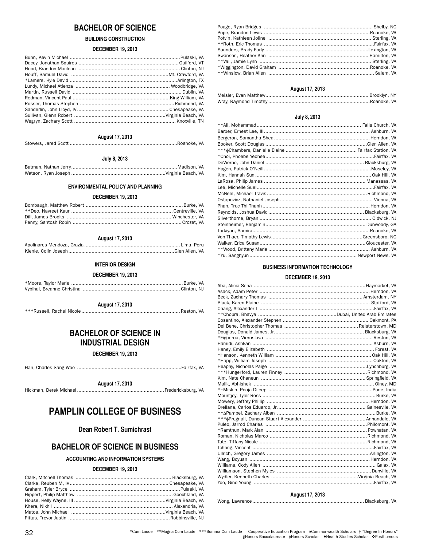# **BACHELOR OF SCIENCE**

# **BUILDING CONSTRUCTION**

# **DECEMBER 19, 2013**

# **August 17, 2013**

Stowers, Jared Scott ..........................................................................Roanoke, VA

# **July 8, 2013**

Batman, Nathan Jerry.........................................................................Madison, VA Watson, Ryan Joseph .................................................................Virginia Beach, VA

# **ENVIRONMENTAL POLICY AND PLANNING**

# **DECEMBER 19, 2013**

# **August 17, 2013**

### **INTERIOR DESIGN**

### **DECEMBER 19, 2013**

**August 17, 2013**

\*\*\*Russell, Rachel Nicole.................................................................... Reston, VA

# **BACHELOR OF SCIENCE IN INDUSTRIAL DESIGN**

**DECEMBER 19, 2013**

Han, Charles Sang Woo ........................................................................Fairfax, VA

**August 17, 2013**

Hickman, Derek Michael............................................................Fredericksburg, VA

# **PAMPLIN COLLEGE OF BUSINESS**

# **Dean Robert T. Sumichrast**

# **BACHELOR OF SCIENCE IN BUSINESS**

# **ACCOUNTING AND INFORMATION SYSTEMS**

# **DECEMBER 19, 2013**

| Poage, Ryan Bridges ………………………………………………………………………… Shelby, NC |  |
|-------------------------------------------------------------|--|
|                                                             |  |
|                                                             |  |
|                                                             |  |
|                                                             |  |
|                                                             |  |
|                                                             |  |
|                                                             |  |
|                                                             |  |
|                                                             |  |

# **August 17, 2013**

# **July 8, 2013**

| DeVierno, John Daniel …………………………………………………………… Blacksburg, VA |  |
|--------------------------------------------------------------|--|
|                                                              |  |
|                                                              |  |
| LaRosa, Philip James ………………………………………………………………… Manassas, VA  |  |
| Lee, Michelle Suel……………………………………………………………………………Fairfax, VA   |  |
|                                                              |  |
|                                                              |  |
|                                                              |  |
|                                                              |  |
|                                                              |  |
|                                                              |  |
|                                                              |  |
|                                                              |  |
|                                                              |  |
|                                                              |  |
|                                                              |  |

# **BUSINESS INFORMATION TECHNOLOGY**

# **DECEMBER 19, 2013**

# **August 17, 2013**

# Wong, Lawrence............................................................................. Blacksburg, VA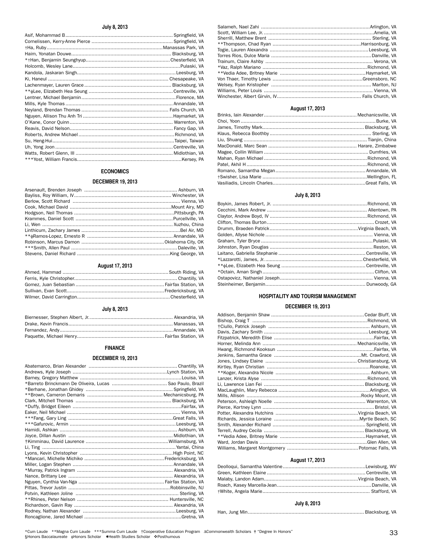# **July 8, 2013**

# **ECONOMICS**

# **DECEMBER 19, 2013**

# **August 17, 2013**

# **July 8, 2013**

# **FINANCE**

# **DECEMBER 19, 2013**

# **August 17, 2013**

# **July 8, 2013**

# **HOSPITALITY AND TOURISM MANAGEMENT**

# **DECEMBER 19, 2013**

| **Koger, Alexandra Nicole ……………………………………………………………… Ashburn, VA |  |
|----------------------------------------------------------------|--|
|                                                                |  |
|                                                                |  |
|                                                                |  |
|                                                                |  |
|                                                                |  |
|                                                                |  |
|                                                                |  |
|                                                                |  |
|                                                                |  |
|                                                                |  |
|                                                                |  |
|                                                                |  |
|                                                                |  |

# **August 17, 2013**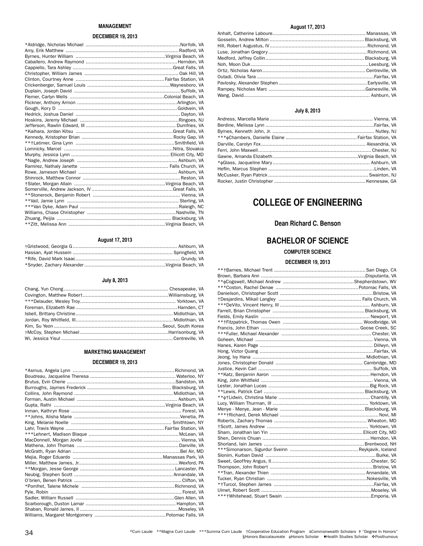# **MANAGEMENT**

# **DECEMBER 19, 2013**

| *Kaihara. Jordan Kitsu …………………………………………………………Great Falls. VA |  |
|--------------------------------------------------------------|--|
|                                                              |  |
|                                                              |  |
|                                                              |  |
|                                                              |  |
|                                                              |  |
|                                                              |  |
|                                                              |  |
|                                                              |  |
|                                                              |  |
|                                                              |  |
|                                                              |  |
|                                                              |  |
|                                                              |  |
|                                                              |  |
|                                                              |  |
|                                                              |  |

# **August 17, 2013**

# **July 8, 2013**

# **MARKETING MANAGEMENT**

# **DECEMBER 19, 2013**

| **Johns, Alisha Marie ………………………………………………………………………Venetia, PA |  |
|--------------------------------------------------------------|--|
|                                                              |  |
|                                                              |  |
|                                                              |  |
|                                                              |  |
|                                                              |  |
|                                                              |  |
|                                                              |  |
|                                                              |  |
|                                                              |  |
|                                                              |  |
|                                                              |  |
|                                                              |  |
|                                                              |  |
|                                                              |  |
|                                                              |  |
|                                                              |  |
|                                                              |  |

# **August 17, 2013**

| . |  |
|---|--|
|   |  |
|   |  |
|   |  |
|   |  |
|   |  |
|   |  |
|   |  |
|   |  |
|   |  |
|   |  |
|   |  |
|   |  |

# **July 8, 2013**

| McCusker, Ryan Patrick ………………………………………………………………… Swainton, NJ |  |
|---------------------------------------------------------------|--|
|                                                               |  |

# **COLLEGE OF ENGINEERING**

# **Dean Richard C. Benson**

# **BACHELOR OF SCIENCE**

# **COMPUTER SCIENCE**

# **DECEMBER 19, 2013**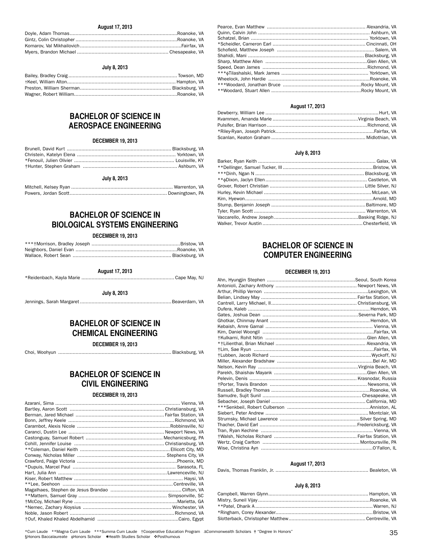# **August 17, 2013**

# **July 8, 2013**

# **BACHELOR OF SCIENCE IN AEROSPACE ENGINEERING**

# **DECEMBER 19, 2013**

# **July 8, 2013**

# **BACHELOR OF SCIENCE IN BIOLOGICAL SYSTEMS ENGINEERING**

# **DECEMBER 19, 2013**

**August 17, 2013**

\*Reidenbach, Kayla Marie ................................................................ Cape May, NJ

**July 8, 2013**

Jennings, Sarah Margaret ...............................................................Beaverdam, VA

# **BACHELOR OF SCIENCE IN CHEMICAL ENGINEERING**

**DECEMBER 19, 2013**

Choi, Woohyun .............................................................................. Blacksburg, VA

# **BACHELOR OF SCIENCE IN CIVIL ENGINEERING**

### **DECEMBER 19, 2013**

# **August 17, 2013**

# **July 8, 2013**

| Barker, Ryan Keith …………………………………………………………………………… Galax, VA |  |
|------------------------------------------------------------|--|
|                                                            |  |
|                                                            |  |
|                                                            |  |
|                                                            |  |
| Hurley, Kevin Michael ……………………………………………………………………McLean, VA |  |
|                                                            |  |
|                                                            |  |
|                                                            |  |
|                                                            |  |
|                                                            |  |

# **BACHELOR OF SCIENCE IN COMPUTER ENGINEERING**

### **DECEMBER 19, 2013**

| +Kulkarni, Rohit Nitin ………………………………………………………………Glen Allen, VA |  |
|---------------------------------------------------------------|--|
|                                                               |  |
|                                                               |  |
|                                                               |  |
|                                                               |  |
|                                                               |  |
|                                                               |  |
|                                                               |  |
|                                                               |  |
|                                                               |  |
|                                                               |  |
|                                                               |  |
|                                                               |  |
|                                                               |  |
|                                                               |  |
|                                                               |  |
| Tran, Ryan Kechine ……………………………………………………………………… Vienna, VA     |  |
|                                                               |  |
|                                                               |  |
|                                                               |  |

# **August 17, 2013**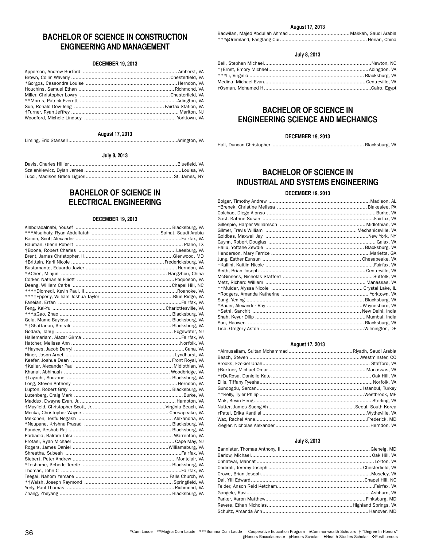# **BACHELOR OF SCIENCE IN CONSTRUCTION ENGINEERING AND MANAGEMENT**

# **DECEMBER 19, 2013**

# **August 17, 2013**

Liming, Eric Stansell...........................................................................Arlington, VA

**July 8, 2013**

# **BACHELOR OF SCIENCE IN ELECTRICAL ENGINEERING**

# **DECEMBER 19, 2013**

# **August 17, 2013**

# **July 8, 2013**

# **BACHELOR OF SCIENCE IN ENGINEERING SCIENCE AND MECHANICS**

### **DECEMBER 19, 2013**

Hall, Duncan Christopher ............................................................... Blacksburg, VA

# **BACHELOR OF SCIENCE IN INDUSTRIAL AND SYSTEMS ENGINEERING**

# **DECEMBER 19, 2013**

| **Mulder, Alyssa Nicole ………………………………………………………… Crystal Lake, IL |  |
|-----------------------------------------------------------------|--|
|                                                                 |  |
|                                                                 |  |
|                                                                 |  |
|                                                                 |  |
|                                                                 |  |
|                                                                 |  |
| Tise, Gregory Aston ………………………………………………………………Wilmington, DE      |  |

# **August 17, 2013**

| Ellis, Tiffany Tyesha………………………………………………………………………Norfolk, VA   |  |
|---------------------------------------------------------------|--|
|                                                               |  |
| **Kelly, Tyler Philip ………………………………………………………………… Westbrook, ME |  |
|                                                               |  |
|                                                               |  |
|                                                               |  |
|                                                               |  |
|                                                               |  |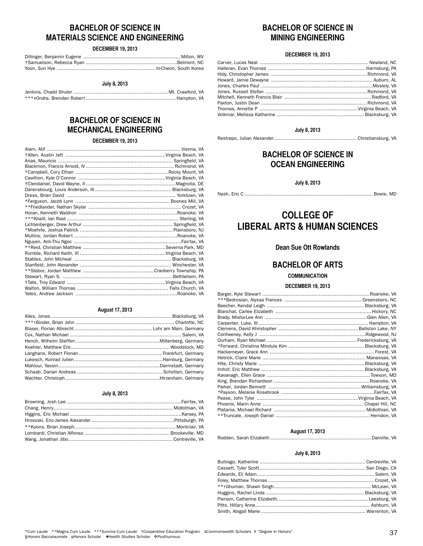# **BACHELOR OF SCIENCE IN MATERIALS SCIENCE AND ENGINEERING**

# **DECEMBER 19, 2013**

# **July 8, 2013**

# **BACHELOR OF SCIENCE IN MECHANICAL ENGINEERING**

# **DECEMBER 19, 2013**

# **August 17, 2013**

# **July 8, 2013**

# **BACHELOR OF SCIENCE IN MINING ENGINEERING**

# **DECEMBER 19, 2013**

| Thomas, Annette P ………………………………………………………………Virginia Beach, VA |  |
|--------------------------------------------------------------|--|
|                                                              |  |
|                                                              |  |

# **July 8, 2013**

Restrepo, Julian Alexander......................................................... Christiansburg, VA

# **BACHELOR OF SCIENCE IN OCEAN ENGINEERING**

**July 8, 2013**

Nash, Eric C......................................................................................... Bowie, MD

# **COLLEGE OF LIBERAL ARTS & HUMAN SCIENCES**

# **Dean Sue Ott Rowlands**

# **BACHELOR OF ARTS**

# **COMMUNICATION**

# **DECEMBER 19, 2013**

# **August 17, 2013**

Rodden, Sarah Elizabeth......................................................................Danville, VA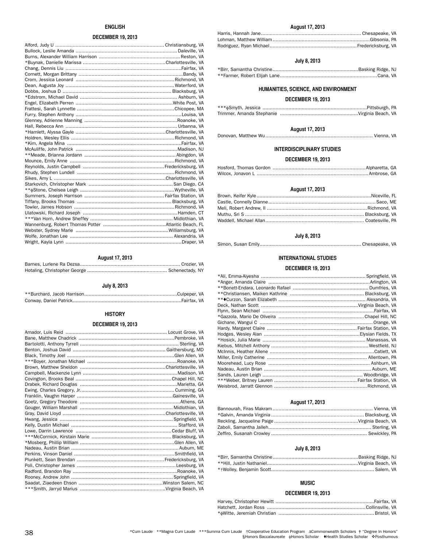# **ENGLISH**

# **DECEMBER 19, 2013**

# **August 17, 2013**

# **July 8, 2013**

# **HISTORY**

## **DECEMBER 19, 2013**

# **August 17, 2013**

# **July 8, 2013**

# **HUMANITIES, SCIENCE, AND ENVIRONMENT**

# **DECEMBER 19, 2013**

# **August 17, 2013**

Donovan, Matthew Wu.......................................................................... Vienna, VA

# **INTERDISCIPLINARY STUDIES**

# **DECEMBER 19, 2013**

# **August 17, 2013**

# **July 8, 2013**

Simon, Susan Emily...................................................................... Chesapeake, VA

# **INTERNATIONAL STUDIES**

# **DECEMBER 19, 2013**

| **Christiansen, Maiken Kathrine ……………………………………………… Blacksburg, VA |  |
|-------------------------------------------------------------------|--|
|                                                                   |  |
|                                                                   |  |
|                                                                   |  |
| *Gazzola, Mario De Oliveira …………………………………………………………Chapel Hill, NC |  |
|                                                                   |  |
|                                                                   |  |
|                                                                   |  |
|                                                                   |  |
|                                                                   |  |
|                                                                   |  |
|                                                                   |  |
|                                                                   |  |
|                                                                   |  |
|                                                                   |  |
|                                                                   |  |
|                                                                   |  |

# **August 17, 2013**

# **July 8, 2013**

# **MUSIC**

# **DECEMBER 19, 2013**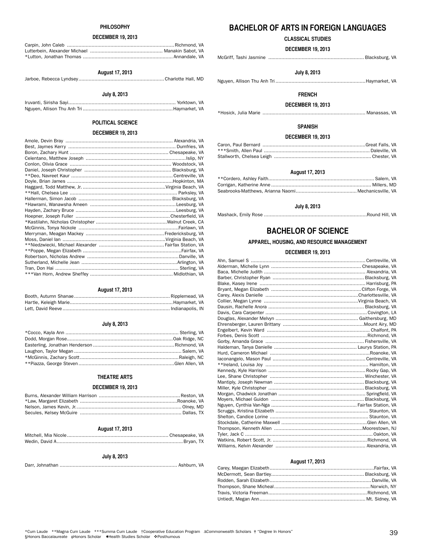## **PHILOSOPHY**

# **DECEMBER 19, 2013**

# **August 17, 2013**

# Jarboe, Rebecca Lyndsey........................................................... Charlotte Hall, MD

# **July 8, 2013**

# Iruvanti, Sirisha Sayi.......................................................................... Yorktown, VA Nguyen, Allison Thu Anh Tri ..............................................................Haymarket, VA

# **POLITICAL SCIENCE**

# **DECEMBER 19, 2013**

| **Hall, Chelsea Lee ………………………………………………………………… Parksley, VA |  |
|------------------------------------------------------------|--|
|                                                            |  |
|                                                            |  |
|                                                            |  |
|                                                            |  |
|                                                            |  |
|                                                            |  |
|                                                            |  |
|                                                            |  |
|                                                            |  |
|                                                            |  |
|                                                            |  |
|                                                            |  |
|                                                            |  |
|                                                            |  |

# **August 17, 2013**

# **July 8, 2013**

# **THEATRE ARTS**

# **DECEMBER 19, 2013**

# **August 17, 2013**

# **July 8, 2013**

Darr, Johnathan ................................................................................. Ashburn, VA

# **BACHELOR OF ARTS IN FOREIGN LANGUAGES**

# **CLASSICAL STUDIES**

**DECEMBER 19, 2013**

|--|--|--|--|--|

# **July 8, 2013**

Nguyen, Allison Thu Anh Tri ..............................................................Haymarket, VA

# **FRENCH**

# **DECEMBER 19, 2013**

\*Hosick, Julia Marie ....................................................................... Manassas, VA

# **SPANISH**

### **DECEMBER 19, 2013**

### **August 17, 2013**

# **July 8, 2013**

Mashack, Emily Rose .......................................................................Round Hill, VA

# **BACHELOR OF SCIENCE**

# **APPAREL, HOUSING, AND RESOURCE MANAGEMENT**

### **DECEMBER 19, 2013**

# **August 17, 2013**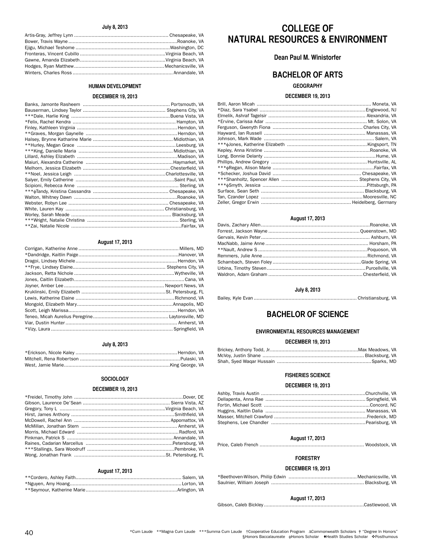# **July 8, 2013**

# **HUMAN DEVELOPMENT**

## **DECEMBER 19, 2013**

| **Zai, Natalie Nicole ………………………………………………………………………Fairfax, VA |  |
|--------------------------------------------------------------|--|

# **August 17, 2013**

# **July 8, 2013**

# **SOCIOLOGY**

# **DECEMBER 19, 2013**

# **August 17, 2013**

# **COLLEGE OF NATURAL RESOURCES & ENVIRONMENT**

# **Dean Paul M. Winistorfer**

# **BACHELOR OF ARTS**

# **GEOGRAPHY**

# **DECEMBER 19, 2013**

| *Diaz, Sara Ysabel ……………………………………………………………………… Englewood, NJ |  |
|--------------------------------------------------------------|--|
|                                                              |  |
|                                                              |  |
|                                                              |  |
|                                                              |  |
|                                                              |  |
|                                                              |  |
|                                                              |  |
|                                                              |  |
|                                                              |  |
|                                                              |  |
|                                                              |  |
|                                                              |  |
|                                                              |  |
|                                                              |  |
|                                                              |  |
|                                                              |  |

# **August 17, 2013**

# **July 8, 2013**

Bailey, Kyle Evan ....................................................................... Christiansburg, VA

# **BACHELOR OF SCIENCE**

# **ENVIRONMENTAL RESOURCES MANAGEMENT**

# **DECEMBER 19, 2013**

# **FISHERIES SCIENCE**

# **DECEMBER 19, 2013**

| Ashby, Travis Austin ………………………………………………………………Churchville, VA   |  |
|----------------------------------------------------------------|--|
|                                                                |  |
|                                                                |  |
| Huggins, Kaitlin Dalia …………………………………………………………………… Manassas, VA |  |
|                                                                |  |
|                                                                |  |

# **August 17, 2013**

Price, Caleb French ........................................................................ Woodstock, VA

# **FORESTRY**

# **DECEMBER 19, 2013**

# **August 17, 2013**

Gibson, Caleb Bickley .....................................................................Castlewood, VA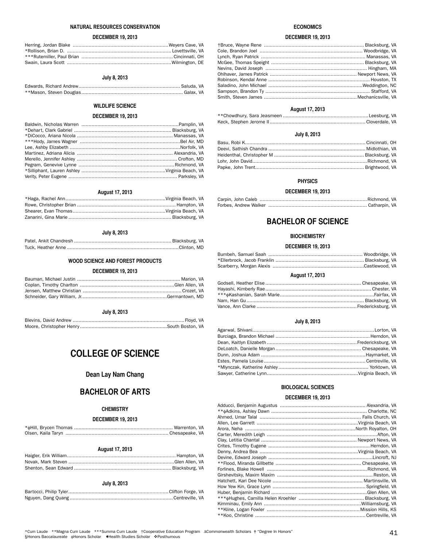# **NATURAL RESOURCES CONSERVATION**

# **DECEMBER 19, 2013**

# **July 8, 2013**

# **WILDLIFE SCIENCE**

# **DECEMBER 19, 2013**

# **August 17, 2013**

# **July 8, 2013**

# **WOOD SCIENCE AND FOREST PRODUCTS**

# **DECEMBER 19, 2013**

# **July 8, 2013**

# **COLLEGE OF SCIENCE**

# **Dean Lay Nam Chang**

# **BACHELOR OF ARTS**

# **CHEMISTRY**

# **DECEMBER 19, 2013**

# **August 17, 2013**

# **July 8, 2013**

# **ECONOMICS**

# **DECEMBER 19, 2013**

| Lynch, Ryan Patrick ………………………………………………………………… Manassas, VA |
|------------------------------------------------------------|
|                                                            |
|                                                            |
|                                                            |
|                                                            |
|                                                            |
|                                                            |
|                                                            |
|                                                            |

# **August 17, 2013**

# **July 8, 2013**

### **PHYSICS**

### **DECEMBER 19, 2013**

# **BACHELOR OF SCIENCE**

# **BIOCHEMISTRY**

# **DECEMBER 19, 2013**

| August 17, 2013 |  |
|-----------------|--|

# **July 8, 2013**

# **BIOLOGICAL SCIENCES**

# **DECEMBER 19, 2013**

| **Koo, Christine ……………………………………………………………………………… Centreville, VA |  |
|-----------------------------------------------------------------|--|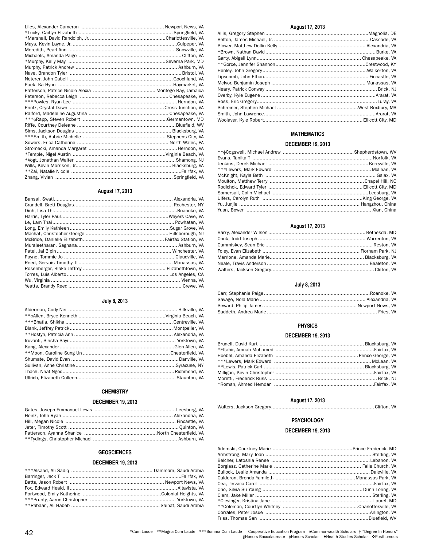# **August 17, 2013**

# **July 8, 2013**

# **CHEMISTRY**

# **DECEMBER 19, 2013**

# **GEOSCIENCES**

# **DECEMBER 19, 2013**

# **August 17, 2013**

# **MATHEMATICS**

# **DECEMBER 19, 2013**

| Ulfers, Carolyn Ruth ………………………………………………………………King George, VA |  |
|--------------------------------------------------------------|--|
|                                                              |  |
| Yuan, Bowen ……………………………………………………………………………… Xian, China       |  |
|                                                              |  |

# **August 17, 2013**

# **July 8, 2013**

# **PHYSICS**

# **DECEMBER 19, 2013**

| Hoebel, Amanda Elizabeth …………………………………………………… Prince George, VA |  |
|-----------------------------------------------------------------|--|
|                                                                 |  |
|                                                                 |  |
|                                                                 |  |
| Moretti, Frederick Russ …………………………………………………………………… Brick, NJ    |  |
|                                                                 |  |
|                                                                 |  |

# **August 17, 2013**

# Walters, Jackson Gregory.......................................................................Clifton, VA

# **PSYCHOLOGY**

# **DECEMBER 19, 2013**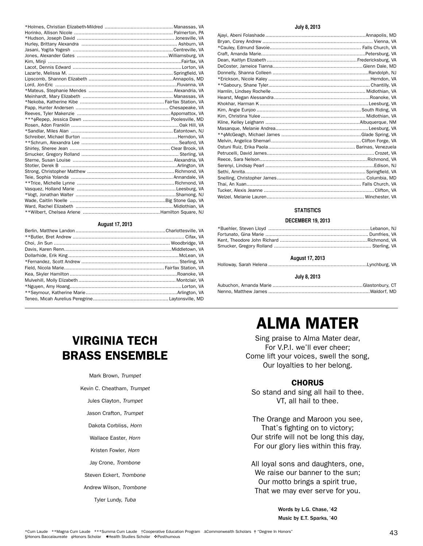# **August 17, 2013**

# **July 8, 2013**

# **STATISTICS**

# **DECEMBER 19, 2013**

| <b>August 17, 2013</b> |  |
|------------------------|--|
|                        |  |
| July 8, 2013           |  |
|                        |  |
|                        |  |

# ALMA MATER

Sing praise to Alma Mater dear, For V.P.I. we'll ever cheer; Come lift your voices, swell the song, Our loyalties to her belong.

# **CHORUS**

So stand and sing all hail to thee. VT, all hail to thee.

The Orange and Maroon you see, That's fighting on to victory; Our strife will not be long this day, For our glory lies within this fray.

All loyal sons and daughters, one, We raise our banner to the sun; Our motto brings a spirit true, That we may ever serve for you.

> Words by L.G. Chase, '42 Music by E.T. Sparks, '40

# VIRGINIA TECH BRASS ENSEMBLE

Mark Brown, *Trumpet*

Kevin C. Cheatham, *Trumpet*

# Jules Clayton, *Trumpet*

Jason Crafton, *Trumpet*

Dakota Corbliss, *Horn*

Wallace Easter, *Horn*

Kristen Fowler, *Horn*

Jay Crone, *Trombone*

Steven Eckert, *Trombone*

Andrew Wilson, *Trombone*

Tyler Lundy, *Tuba*